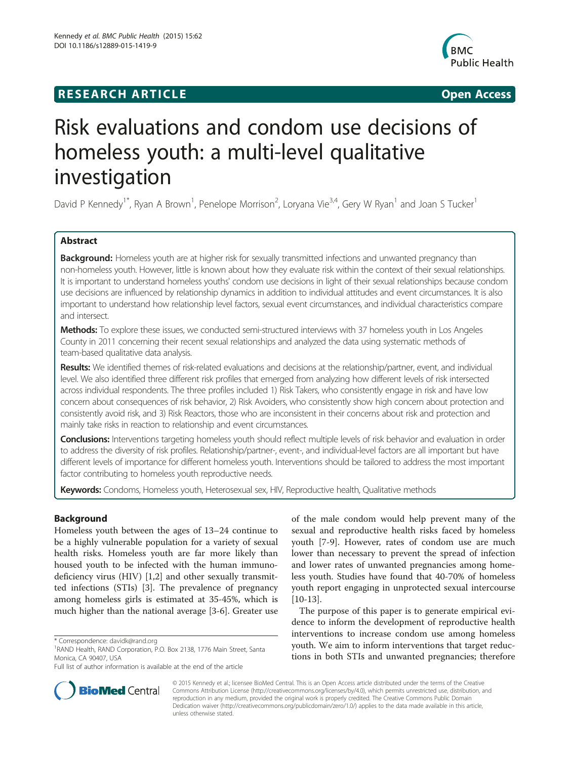# **RESEARCH ARTICLE Example 2014 12:30 The SEAR CHIPS 2014 12:30 The Open Access**



# Risk evaluations and condom use decisions of homeless youth: a multi-level qualitative investigation

David P Kennedy<sup>1\*</sup>, Ryan A Brown<sup>1</sup>, Penelope Morrison<sup>2</sup>, Loryana Vie<sup>3,4</sup>, Gery W Ryan<sup>1</sup> and Joan S Tucker<sup>1</sup>

# Abstract

Background: Homeless youth are at higher risk for sexually transmitted infections and unwanted pregnancy than non-homeless youth. However, little is known about how they evaluate risk within the context of their sexual relationships. It is important to understand homeless youths' condom use decisions in light of their sexual relationships because condom use decisions are influenced by relationship dynamics in addition to individual attitudes and event circumstances. It is also important to understand how relationship level factors, sexual event circumstances, and individual characteristics compare and intersect.

Methods: To explore these issues, we conducted semi-structured interviews with 37 homeless youth in Los Angeles County in 2011 concerning their recent sexual relationships and analyzed the data using systematic methods of team-based qualitative data analysis.

Results: We identified themes of risk-related evaluations and decisions at the relationship/partner, event, and individual level. We also identified three different risk profiles that emerged from analyzing how different levels of risk intersected across individual respondents. The three profiles included 1) Risk Takers, who consistently engage in risk and have low concern about consequences of risk behavior, 2) Risk Avoiders, who consistently show high concern about protection and consistently avoid risk, and 3) Risk Reactors, those who are inconsistent in their concerns about risk and protection and mainly take risks in reaction to relationship and event circumstances.

Conclusions: Interventions targeting homeless youth should reflect multiple levels of risk behavior and evaluation in order to address the diversity of risk profiles. Relationship/partner-, event-, and individual-level factors are all important but have different levels of importance for different homeless youth. Interventions should be tailored to address the most important factor contributing to homeless youth reproductive needs.

Keywords: Condoms, Homeless youth, Heterosexual sex, HIV, Reproductive health, Qualitative methods

## **Background**

Homeless youth between the ages of 13–24 continue to be a highly vulnerable population for a variety of sexual health risks. Homeless youth are far more likely than housed youth to be infected with the human immunodeficiency virus (HIV) [[1,2\]](#page-18-0) and other sexually transmitted infections (STIs) [[3\]](#page-18-0). The prevalence of pregnancy among homeless girls is estimated at 35-45%, which is much higher than the national average [\[3](#page-18-0)-[6\]](#page-18-0). Greater use

of the male condom would help prevent many of the sexual and reproductive health risks faced by homeless youth [\[7](#page-18-0)-[9\]](#page-18-0). However, rates of condom use are much lower than necessary to prevent the spread of infection and lower rates of unwanted pregnancies among homeless youth. Studies have found that 40-70% of homeless youth report engaging in unprotected sexual intercourse [[10-13](#page-18-0)].

The purpose of this paper is to generate empirical evidence to inform the development of reproductive health interventions to increase condom use among homeless youth. We aim to inform interventions that target reductions in both STIs and unwanted pregnancies; therefore



© 2015 Kennedy et al.; licensee BioMed Central. This is an Open Access article distributed under the terms of the Creative Commons Attribution License [\(http://creativecommons.org/licenses/by/4.0\)](http://creativecommons.org/licenses/by/4.0), which permits unrestricted use, distribution, and reproduction in any medium, provided the original work is properly credited. The Creative Commons Public Domain Dedication waiver [\(http://creativecommons.org/publicdomain/zero/1.0/](http://creativecommons.org/publicdomain/zero/1.0/)) applies to the data made available in this article, unless otherwise stated.

<sup>\*</sup> Correspondence: [davidk@rand.org](mailto:davidk@rand.org) <sup>1</sup>

<sup>&</sup>lt;sup>1</sup>RAND Health, RAND Corporation, P.O. Box 2138, 1776 Main Street, Santa Monica, CA 90407, USA

Full list of author information is available at the end of the article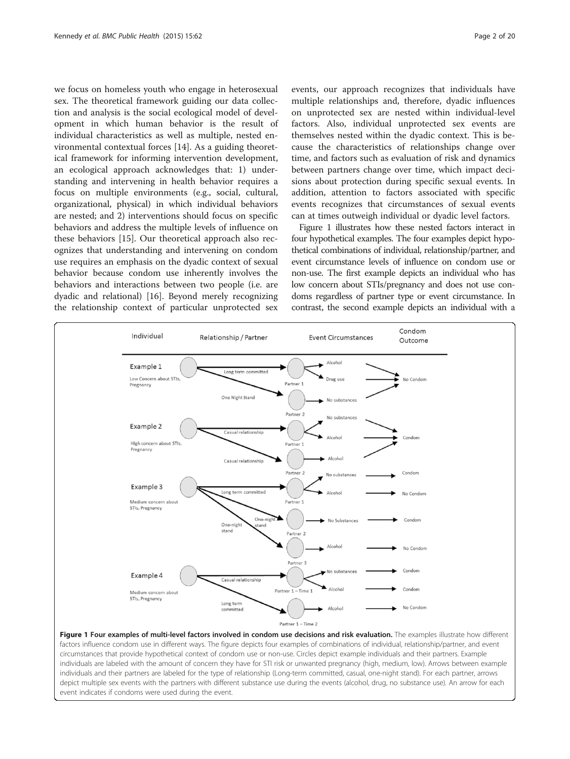<span id="page-1-0"></span>we focus on homeless youth who engage in heterosexual sex. The theoretical framework guiding our data collection and analysis is the social ecological model of development in which human behavior is the result of individual characteristics as well as multiple, nested environmental contextual forces [\[14\]](#page-18-0). As a guiding theoretical framework for informing intervention development, an ecological approach acknowledges that: 1) understanding and intervening in health behavior requires a focus on multiple environments (e.g., social, cultural, organizational, physical) in which individual behaviors are nested; and 2) interventions should focus on specific behaviors and address the multiple levels of influence on these behaviors [\[15](#page-19-0)]. Our theoretical approach also recognizes that understanding and intervening on condom use requires an emphasis on the dyadic context of sexual behavior because condom use inherently involves the behaviors and interactions between two people (i.e. are dyadic and relational) [\[16](#page-19-0)]. Beyond merely recognizing the relationship context of particular unprotected sex

events, our approach recognizes that individuals have multiple relationships and, therefore, dyadic influences on unprotected sex are nested within individual-level factors. Also, individual unprotected sex events are themselves nested within the dyadic context. This is because the characteristics of relationships change over time, and factors such as evaluation of risk and dynamics between partners change over time, which impact decisions about protection during specific sexual events. In addition, attention to factors associated with specific events recognizes that circumstances of sexual events can at times outweigh individual or dyadic level factors.

Figure 1 illustrates how these nested factors interact in four hypothetical examples. The four examples depict hypothetical combinations of individual, relationship/partner, and event circumstance levels of influence on condom use or non-use. The first example depicts an individual who has low concern about STIs/pregnancy and does not use condoms regardless of partner type or event circumstance. In contrast, the second example depicts an individual with a

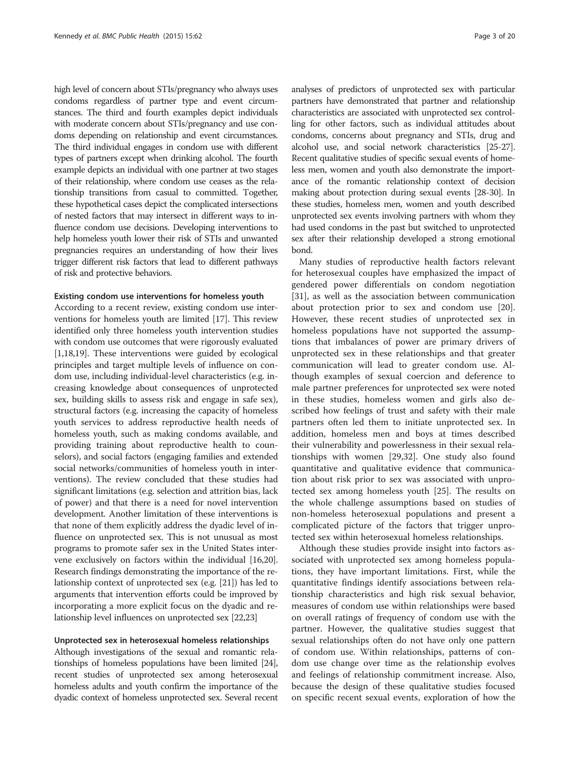high level of concern about STIs/pregnancy who always uses condoms regardless of partner type and event circumstances. The third and fourth examples depict individuals with moderate concern about STIs/pregnancy and use condoms depending on relationship and event circumstances. The third individual engages in condom use with different types of partners except when drinking alcohol. The fourth example depicts an individual with one partner at two stages of their relationship, where condom use ceases as the relationship transitions from casual to committed. Together, these hypothetical cases depict the complicated intersections of nested factors that may intersect in different ways to influence condom use decisions. Developing interventions to help homeless youth lower their risk of STIs and unwanted pregnancies requires an understanding of how their lives trigger different risk factors that lead to different pathways of risk and protective behaviors.

#### Existing condom use interventions for homeless youth

According to a recent review, existing condom use interventions for homeless youth are limited [\[17\]](#page-19-0). This review identified only three homeless youth intervention studies with condom use outcomes that were rigorously evaluated [[1,](#page-18-0)[18,19\]](#page-19-0). These interventions were guided by ecological principles and target multiple levels of influence on condom use, including individual-level characteristics (e.g. increasing knowledge about consequences of unprotected sex, building skills to assess risk and engage in safe sex), structural factors (e.g. increasing the capacity of homeless youth services to address reproductive health needs of homeless youth, such as making condoms available, and providing training about reproductive health to counselors), and social factors (engaging families and extended social networks/communities of homeless youth in interventions). The review concluded that these studies had significant limitations (e.g. selection and attrition bias, lack of power) and that there is a need for novel intervention development. Another limitation of these interventions is that none of them explicitly address the dyadic level of influence on unprotected sex. This is not unusual as most programs to promote safer sex in the United States intervene exclusively on factors within the individual [\[16,20](#page-19-0)]. Research findings demonstrating the importance of the relationship context of unprotected sex (e.g. [\[21\]](#page-19-0)) has led to arguments that intervention efforts could be improved by incorporating a more explicit focus on the dyadic and relationship level influences on unprotected sex [[22,23](#page-19-0)]

#### Unprotected sex in heterosexual homeless relationships

Although investigations of the sexual and romantic relationships of homeless populations have been limited [\[24](#page-19-0)], recent studies of unprotected sex among heterosexual homeless adults and youth confirm the importance of the dyadic context of homeless unprotected sex. Several recent

analyses of predictors of unprotected sex with particular partners have demonstrated that partner and relationship characteristics are associated with unprotected sex controlling for other factors, such as individual attitudes about condoms, concerns about pregnancy and STIs, drug and alcohol use, and social network characteristics [\[25-27](#page-19-0)]. Recent qualitative studies of specific sexual events of homeless men, women and youth also demonstrate the importance of the romantic relationship context of decision making about protection during sexual events [[28](#page-19-0)-[30\]](#page-19-0). In these studies, homeless men, women and youth described unprotected sex events involving partners with whom they had used condoms in the past but switched to unprotected sex after their relationship developed a strong emotional bond.

Many studies of reproductive health factors relevant for heterosexual couples have emphasized the impact of gendered power differentials on condom negotiation [[31\]](#page-19-0), as well as the association between communication about protection prior to sex and condom use [\[20](#page-19-0)]. However, these recent studies of unprotected sex in homeless populations have not supported the assumptions that imbalances of power are primary drivers of unprotected sex in these relationships and that greater communication will lead to greater condom use. Although examples of sexual coercion and deference to male partner preferences for unprotected sex were noted in these studies, homeless women and girls also described how feelings of trust and safety with their male partners often led them to initiate unprotected sex. In addition, homeless men and boys at times described their vulnerability and powerlessness in their sexual relationships with women [[29](#page-19-0),[32](#page-19-0)]. One study also found quantitative and qualitative evidence that communication about risk prior to sex was associated with unprotected sex among homeless youth [[25](#page-19-0)]. The results on the whole challenge assumptions based on studies of non-homeless heterosexual populations and present a complicated picture of the factors that trigger unprotected sex within heterosexual homeless relationships.

Although these studies provide insight into factors associated with unprotected sex among homeless populations, they have important limitations. First, while the quantitative findings identify associations between relationship characteristics and high risk sexual behavior, measures of condom use within relationships were based on overall ratings of frequency of condom use with the partner. However, the qualitative studies suggest that sexual relationships often do not have only one pattern of condom use. Within relationships, patterns of condom use change over time as the relationship evolves and feelings of relationship commitment increase. Also, because the design of these qualitative studies focused on specific recent sexual events, exploration of how the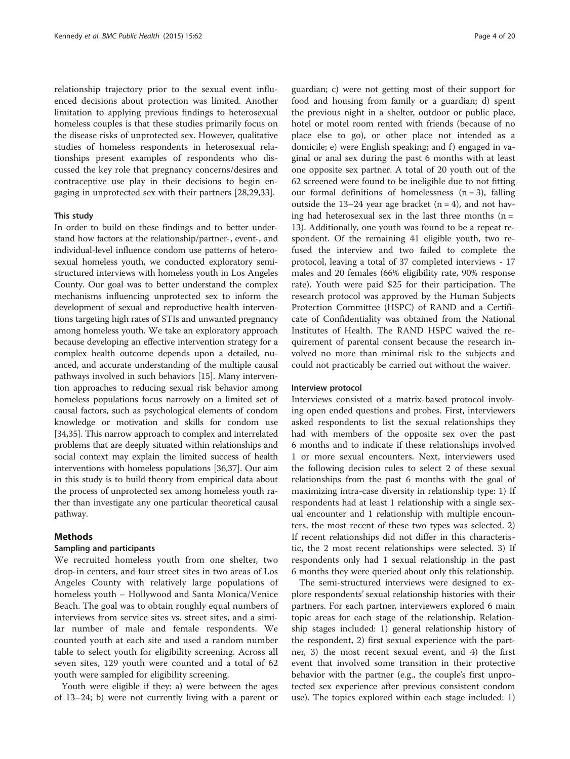relationship trajectory prior to the sexual event influenced decisions about protection was limited. Another limitation to applying previous findings to heterosexual homeless couples is that these studies primarily focus on the disease risks of unprotected sex. However, qualitative studies of homeless respondents in heterosexual relationships present examples of respondents who discussed the key role that pregnancy concerns/desires and contraceptive use play in their decisions to begin engaging in unprotected sex with their partners [\[28,29,33\]](#page-19-0).

#### This study

In order to build on these findings and to better understand how factors at the relationship/partner-, event-, and individual-level influence condom use patterns of heterosexual homeless youth, we conducted exploratory semistructured interviews with homeless youth in Los Angeles County. Our goal was to better understand the complex mechanisms influencing unprotected sex to inform the development of sexual and reproductive health interventions targeting high rates of STIs and unwanted pregnancy among homeless youth. We take an exploratory approach because developing an effective intervention strategy for a complex health outcome depends upon a detailed, nuanced, and accurate understanding of the multiple causal pathways involved in such behaviors [[15\]](#page-19-0). Many intervention approaches to reducing sexual risk behavior among homeless populations focus narrowly on a limited set of causal factors, such as psychological elements of condom knowledge or motivation and skills for condom use [[34,35](#page-19-0)]. This narrow approach to complex and interrelated problems that are deeply situated within relationships and social context may explain the limited success of health interventions with homeless populations [\[36,37\]](#page-19-0). Our aim in this study is to build theory from empirical data about the process of unprotected sex among homeless youth rather than investigate any one particular theoretical causal pathway.

## Methods

## Sampling and participants

We recruited homeless youth from one shelter, two drop-in centers, and four street sites in two areas of Los Angeles County with relatively large populations of homeless youth – Hollywood and Santa Monica/Venice Beach. The goal was to obtain roughly equal numbers of interviews from service sites vs. street sites, and a similar number of male and female respondents. We counted youth at each site and used a random number table to select youth for eligibility screening. Across all seven sites, 129 youth were counted and a total of 62 youth were sampled for eligibility screening.

Youth were eligible if they: a) were between the ages of 13–24; b) were not currently living with a parent or

guardian; c) were not getting most of their support for food and housing from family or a guardian; d) spent the previous night in a shelter, outdoor or public place, hotel or motel room rented with friends (because of no place else to go), or other place not intended as a domicile; e) were English speaking; and f) engaged in vaginal or anal sex during the past 6 months with at least one opposite sex partner. A total of 20 youth out of the 62 screened were found to be ineligible due to not fitting our formal definitions of homelessness  $(n = 3)$ , falling outside the  $13-24$  year age bracket (n = 4), and not having had heterosexual sex in the last three months  $(n =$ 13). Additionally, one youth was found to be a repeat respondent. Of the remaining 41 eligible youth, two refused the interview and two failed to complete the protocol, leaving a total of 37 completed interviews - 17 males and 20 females (66% eligibility rate, 90% response rate). Youth were paid \$25 for their participation. The research protocol was approved by the Human Subjects Protection Committee (HSPC) of RAND and a Certificate of Confidentiality was obtained from the National Institutes of Health. The RAND HSPC waived the requirement of parental consent because the research involved no more than minimal risk to the subjects and could not practicably be carried out without the waiver.

#### Interview protocol

Interviews consisted of a matrix-based protocol involving open ended questions and probes. First, interviewers asked respondents to list the sexual relationships they had with members of the opposite sex over the past 6 months and to indicate if these relationships involved 1 or more sexual encounters. Next, interviewers used the following decision rules to select 2 of these sexual relationships from the past 6 months with the goal of maximizing intra-case diversity in relationship type: 1) If respondents had at least 1 relationship with a single sexual encounter and 1 relationship with multiple encounters, the most recent of these two types was selected. 2) If recent relationships did not differ in this characteristic, the 2 most recent relationships were selected. 3) If respondents only had 1 sexual relationship in the past 6 months they were queried about only this relationship.

The semi-structured interviews were designed to explore respondents' sexual relationship histories with their partners. For each partner, interviewers explored 6 main topic areas for each stage of the relationship. Relationship stages included: 1) general relationship history of the respondent, 2) first sexual experience with the partner, 3) the most recent sexual event, and 4) the first event that involved some transition in their protective behavior with the partner (e.g., the couple's first unprotected sex experience after previous consistent condom use). The topics explored within each stage included: 1)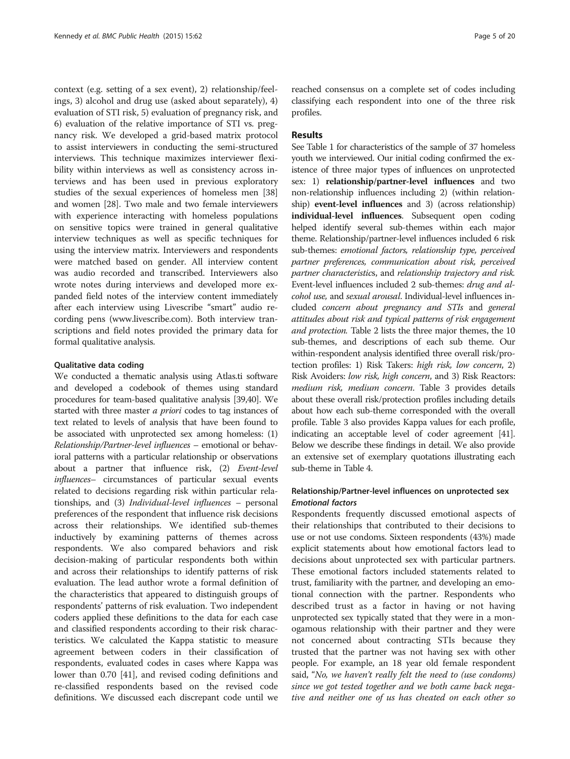context (e.g. setting of a sex event), 2) relationship/feelings, 3) alcohol and drug use (asked about separately), 4) evaluation of STI risk, 5) evaluation of pregnancy risk, and 6) evaluation of the relative importance of STI vs. pregnancy risk. We developed a grid-based matrix protocol to assist interviewers in conducting the semi-structured interviews. This technique maximizes interviewer flexibility within interviews as well as consistency across interviews and has been used in previous exploratory studies of the sexual experiences of homeless men [[38](#page-19-0)] and women [\[28](#page-19-0)]. Two male and two female interviewers with experience interacting with homeless populations on sensitive topics were trained in general qualitative interview techniques as well as specific techniques for using the interview matrix. Interviewers and respondents were matched based on gender. All interview content was audio recorded and transcribed. Interviewers also wrote notes during interviews and developed more expanded field notes of the interview content immediately after each interview using Livescribe "smart" audio recording pens [\(www.livescribe.com](http://www.livescribe.com)). Both interview transcriptions and field notes provided the primary data for formal qualitative analysis.

### Qualitative data coding

We conducted a thematic analysis using Atlas.ti software and developed a codebook of themes using standard procedures for team-based qualitative analysis [\[39,40\]](#page-19-0). We started with three master *a priori* codes to tag instances of text related to levels of analysis that have been found to be associated with unprotected sex among homeless: (1) Relationship/Partner-level influences – emotional or behavioral patterns with a particular relationship or observations about a partner that influence risk, (2) Event-level influences– circumstances of particular sexual events related to decisions regarding risk within particular relationships, and (3) Individual-level influences – personal preferences of the respondent that influence risk decisions across their relationships. We identified sub-themes inductively by examining patterns of themes across respondents. We also compared behaviors and risk decision-making of particular respondents both within and across their relationships to identify patterns of risk evaluation. The lead author wrote a formal definition of the characteristics that appeared to distinguish groups of respondents' patterns of risk evaluation. Two independent coders applied these definitions to the data for each case and classified respondents according to their risk characteristics. We calculated the Kappa statistic to measure agreement between coders in their classification of respondents, evaluated codes in cases where Kappa was lower than 0.70 [[41](#page-19-0)], and revised coding definitions and re-classified respondents based on the revised code definitions. We discussed each discrepant code until we

reached consensus on a complete set of codes including classifying each respondent into one of the three risk profiles.

## **Results**

See Table [1](#page-5-0) for characteristics of the sample of 37 homeless youth we interviewed. Our initial coding confirmed the existence of three major types of influences on unprotected sex: 1) relationship/partner-level influences and two non-relationship influences including 2) (within relationship) event-level influences and 3) (across relationship) individual-level influences. Subsequent open coding helped identify several sub-themes within each major theme. Relationship/partner-level influences included 6 risk sub-themes: emotional factors, relationship type, perceived partner preferences, communication about risk, perceived partner characteristics, and relationship trajectory and risk. Event-level influences included 2 sub-themes: drug and alcohol use, and sexual arousal. Individual-level influences included concern about pregnancy and STIs and general attitudes about risk and typical patterns of risk engagement and protection. Table [2](#page-6-0) lists the three major themes, the 10 sub-themes, and descriptions of each sub theme. Our within-respondent analysis identified three overall risk/protection profiles: 1) Risk Takers: high risk, low concern, 2) Risk Avoiders: low risk, high concern, and 3) Risk Reactors: medium risk, medium concern. Table [3](#page-7-0) provides details about these overall risk/protection profiles including details about how each sub-theme corresponded with the overall profile. Table [3](#page-7-0) also provides Kappa values for each profile, indicating an acceptable level of coder agreement [\[41](#page-19-0)]. Below we describe these findings in detail. We also provide an extensive set of exemplary quotations illustrating each sub-theme in Table [4.](#page-9-0)

## Relationship/Partner-level influences on unprotected sex Emotional factors

Respondents frequently discussed emotional aspects of their relationships that contributed to their decisions to use or not use condoms. Sixteen respondents (43%) made explicit statements about how emotional factors lead to decisions about unprotected sex with particular partners. These emotional factors included statements related to trust, familiarity with the partner, and developing an emotional connection with the partner. Respondents who described trust as a factor in having or not having unprotected sex typically stated that they were in a monogamous relationship with their partner and they were not concerned about contracting STIs because they trusted that the partner was not having sex with other people. For example, an 18 year old female respondent said, "No, we haven't really felt the need to (use condoms) since we got tested together and we both came back negative and neither one of us has cheated on each other so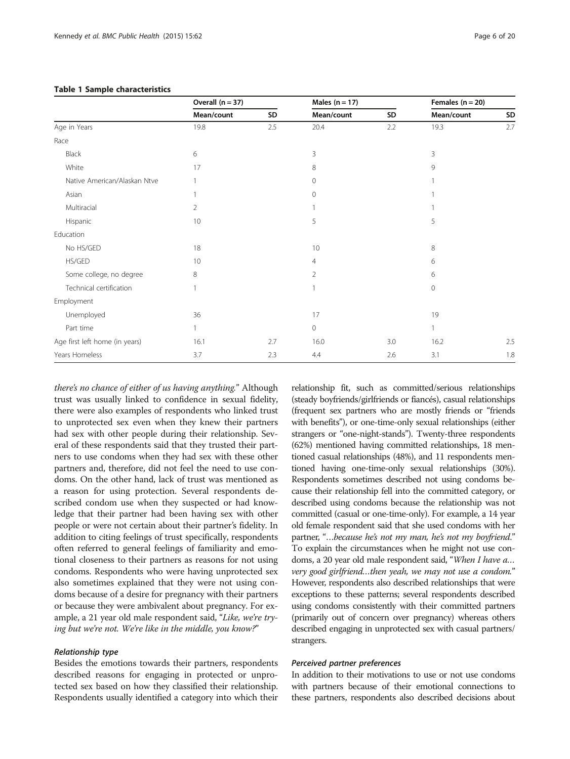|                                | Overall $(n = 37)$ |     | Males $(n = 17)$ |     |             | Females $(n = 20)$ |  |
|--------------------------------|--------------------|-----|------------------|-----|-------------|--------------------|--|
|                                | Mean/count         | SD  | Mean/count       | SD  | Mean/count  | <b>SD</b>          |  |
| Age in Years                   | 19.8               | 2.5 | 20.4             | 2.2 | 19.3        | 2.7                |  |
| Race                           |                    |     |                  |     |             |                    |  |
| Black                          | 6                  |     | 3                |     | 3           |                    |  |
| White                          | 17                 |     | 8                |     | 9           |                    |  |
| Native American/Alaskan Ntve   |                    |     | $\mathbf 0$      |     |             |                    |  |
| Asian                          |                    |     | $\circ$          |     |             |                    |  |
| Multiracial                    | $\overline{2}$     |     |                  |     |             |                    |  |
| Hispanic                       | 10                 |     | 5                |     | 5           |                    |  |
| Education                      |                    |     |                  |     |             |                    |  |
| No HS/GED                      | 18                 |     | 10               |     | 8           |                    |  |
| HS/GED                         | 10                 |     | $\overline{4}$   |     | 6           |                    |  |
| Some college, no degree        | 8                  |     | $\overline{2}$   |     | 6           |                    |  |
| Technical certification        |                    |     |                  |     | $\mathbf 0$ |                    |  |
| Employment                     |                    |     |                  |     |             |                    |  |
| Unemployed                     | 36                 |     | 17               |     | 19          |                    |  |
| Part time                      |                    |     | $\circ$          |     |             |                    |  |
| Age first left home (in years) | 16.1               | 2.7 | 16.0             | 3.0 | 16.2        | 2.5                |  |
| Years Homeless                 | 3.7                | 2.3 | 4.4              | 2.6 | 3.1         | 1.8                |  |

#### <span id="page-5-0"></span>Table 1 Sample characteristics

there's no chance of either of us having anything." Although trust was usually linked to confidence in sexual fidelity, there were also examples of respondents who linked trust to unprotected sex even when they knew their partners had sex with other people during their relationship. Several of these respondents said that they trusted their partners to use condoms when they had sex with these other partners and, therefore, did not feel the need to use condoms. On the other hand, lack of trust was mentioned as a reason for using protection. Several respondents described condom use when they suspected or had knowledge that their partner had been having sex with other people or were not certain about their partner's fidelity. In addition to citing feelings of trust specifically, respondents often referred to general feelings of familiarity and emotional closeness to their partners as reasons for not using condoms. Respondents who were having unprotected sex also sometimes explained that they were not using condoms because of a desire for pregnancy with their partners or because they were ambivalent about pregnancy. For example, a 21 year old male respondent said, "Like, we're trying but we're not. We're like in the middle, you know?"

#### Relationship type

Besides the emotions towards their partners, respondents described reasons for engaging in protected or unprotected sex based on how they classified their relationship. Respondents usually identified a category into which their relationship fit, such as committed/serious relationships (steady boyfriends/girlfriends or fiancés), casual relationships (frequent sex partners who are mostly friends or "friends with benefits"), or one-time-only sexual relationships (either strangers or "one-night-stands"). Twenty-three respondents (62%) mentioned having committed relationships, 18 mentioned casual relationships (48%), and 11 respondents mentioned having one-time-only sexual relationships (30%). Respondents sometimes described not using condoms because their relationship fell into the committed category, or described using condoms because the relationship was not committed (casual or one-time-only). For example, a 14 year old female respondent said that she used condoms with her partner, "...because he's not my man, he's not my boyfriend." To explain the circumstances when he might not use condoms, a 20 year old male respondent said, "When I have a… very good girlfriend…then yeah, we may not use a condom." However, respondents also described relationships that were exceptions to these patterns; several respondents described using condoms consistently with their committed partners (primarily out of concern over pregnancy) whereas others described engaging in unprotected sex with casual partners/ strangers.

#### Perceived partner preferences

In addition to their motivations to use or not use condoms with partners because of their emotional connections to these partners, respondents also described decisions about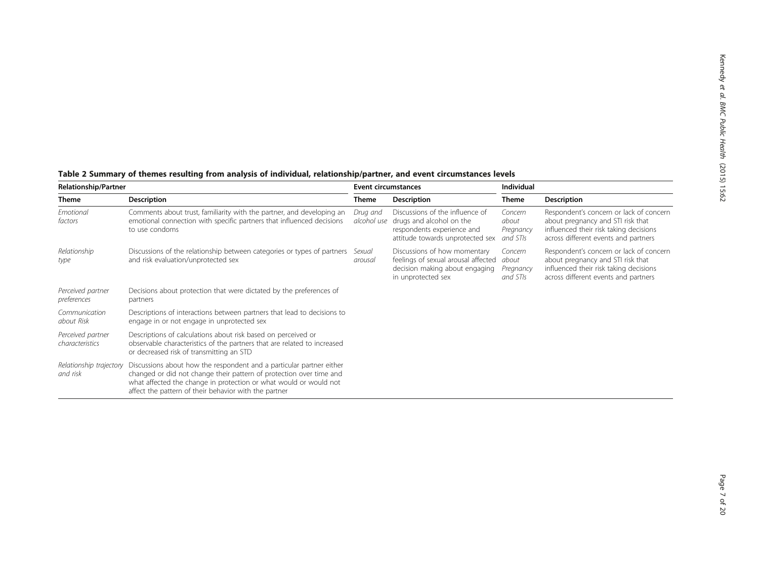| <b>Relationship/Partner</b>          |                                                                                                                                                                                                                                                                           | <b>Event circumstances</b> |                                                                                                                               | Individual                                |                                                                                                                                                                |
|--------------------------------------|---------------------------------------------------------------------------------------------------------------------------------------------------------------------------------------------------------------------------------------------------------------------------|----------------------------|-------------------------------------------------------------------------------------------------------------------------------|-------------------------------------------|----------------------------------------------------------------------------------------------------------------------------------------------------------------|
| Theme                                | <b>Description</b>                                                                                                                                                                                                                                                        | Theme                      | <b>Description</b>                                                                                                            | Theme                                     | <b>Description</b>                                                                                                                                             |
| Emotional<br>factors                 | Comments about trust, familiarity with the partner, and developing an<br>emotional connection with specific partners that influenced decisions<br>to use condoms                                                                                                          | Drug and<br>alcohol use    | Discussions of the influence of<br>drugs and alcohol on the<br>respondents experience and<br>attitude towards unprotected sex | Concern<br>about<br>Pregnancy<br>and STIs | Respondent's concern or lack of concern<br>about pregnancy and STI risk that<br>influenced their risk taking decisions<br>across different events and partners |
| Relationship<br>type                 | Discussions of the relationship between categories or types of partners<br>and risk evaluation/unprotected sex                                                                                                                                                            | Sexual<br>arousal          | Discussions of how momentary<br>feelings of sexual arousal affected<br>decision making about engaging<br>in unprotected sex   | Concern<br>about<br>Pregnancy<br>and STIs | Respondent's concern or lack of concern<br>about pregnancy and STI risk that<br>influenced their risk taking decisions<br>across different events and partners |
| Perceived partner<br>preferences     | Decisions about protection that were dictated by the preferences of<br>partners                                                                                                                                                                                           |                            |                                                                                                                               |                                           |                                                                                                                                                                |
| Communication<br>about Risk          | Descriptions of interactions between partners that lead to decisions to<br>engage in or not engage in unprotected sex                                                                                                                                                     |                            |                                                                                                                               |                                           |                                                                                                                                                                |
| Perceived partner<br>characteristics | Descriptions of calculations about risk based on perceived or<br>observable characteristics of the partners that are related to increased<br>or decreased risk of transmitting an STD                                                                                     |                            |                                                                                                                               |                                           |                                                                                                                                                                |
| Relationship trajectory<br>and risk  | Discussions about how the respondent and a particular partner either<br>changed or did not change their pattern of protection over time and<br>what affected the change in protection or what would or would not<br>affect the pattern of their behavior with the partner |                            |                                                                                                                               |                                           |                                                                                                                                                                |

# <span id="page-6-0"></span>Table 2 Summary of themes resulting from analysis of individual, relationship/partner, and event circumstances levels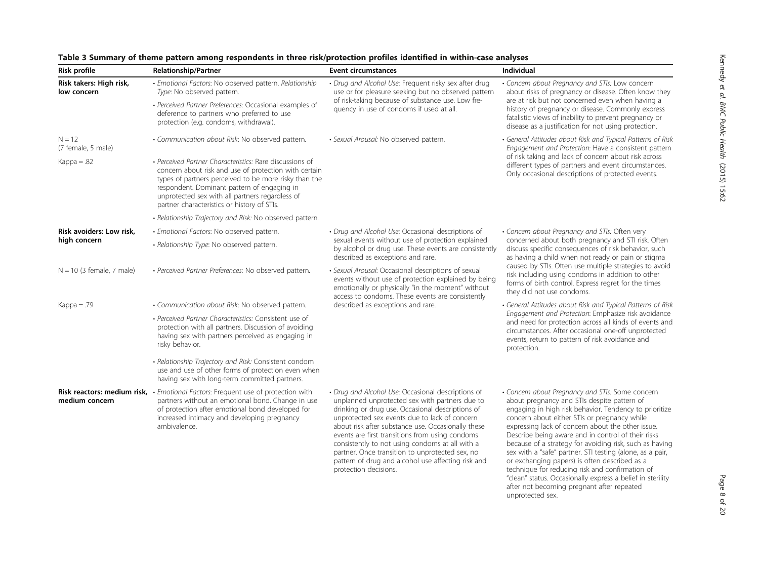| Risk profile                                    | Relationship/Partner                                                                                                                                                                                                                                                                                                                                                            | <b>Event circumstances</b>                                                                                                                                                                                                                                                                                                                                                                                                                                                                              | Individual                                                                                                                                                                                                                                                                                                                                                                                                                                                                                                                                                                                                                                                   |  |
|-------------------------------------------------|---------------------------------------------------------------------------------------------------------------------------------------------------------------------------------------------------------------------------------------------------------------------------------------------------------------------------------------------------------------------------------|---------------------------------------------------------------------------------------------------------------------------------------------------------------------------------------------------------------------------------------------------------------------------------------------------------------------------------------------------------------------------------------------------------------------------------------------------------------------------------------------------------|--------------------------------------------------------------------------------------------------------------------------------------------------------------------------------------------------------------------------------------------------------------------------------------------------------------------------------------------------------------------------------------------------------------------------------------------------------------------------------------------------------------------------------------------------------------------------------------------------------------------------------------------------------------|--|
| Risk takers: High risk,<br>low concern          | · Emotional Factors: No observed pattern. Relationship<br>Type: No observed pattern.<br>· Perceived Partner Preferences: Occasional examples of<br>deference to partners who preferred to use<br>protection (e.g. condoms, withdrawal).                                                                                                                                         | · Drug and Alcohol Use: Frequent risky sex after drug<br>use or for pleasure seeking but no observed pattern<br>of risk-taking because of substance use. Low fre-<br>quency in use of condoms if used at all.                                                                                                                                                                                                                                                                                           | • Concern about Pregnancy and STIs: Low concern<br>about risks of pregnancy or disease. Often know they<br>are at risk but not concerned even when having a<br>history of pregnancy or disease. Commonly express<br>fatalistic views of inability to prevent pregnancy or                                                                                                                                                                                                                                                                                                                                                                                    |  |
| $N = 12$<br>(7 female, 5 male)<br>$Kappa = .82$ | · Communication about Risk: No observed pattern.<br>• Perceived Partner Characteristics: Rare discussions of<br>concern about risk and use of protection with certain<br>types of partners perceived to be more risky than the<br>respondent. Dominant pattern of engaging in<br>unprotected sex with all partners regardless of<br>partner characteristics or history of STIs. | · Sexual Arousal: No observed pattern.                                                                                                                                                                                                                                                                                                                                                                                                                                                                  | disease as a justification for not using protection.<br>• General Attitudes about Risk and Typical Patterns of Risk<br>Engagement and Protection: Have a consistent pattern<br>of risk taking and lack of concern about risk across<br>different types of partners and event circumstances.<br>Only occasional descriptions of protected events.                                                                                                                                                                                                                                                                                                             |  |
|                                                 | • Relationship Trajectory and Risk: No observed pattern.                                                                                                                                                                                                                                                                                                                        |                                                                                                                                                                                                                                                                                                                                                                                                                                                                                                         |                                                                                                                                                                                                                                                                                                                                                                                                                                                                                                                                                                                                                                                              |  |
| Risk avoiders: Low risk,                        | · Emotional Factors: No observed pattern.                                                                                                                                                                                                                                                                                                                                       | • Drug and Alcohol Use: Occasional descriptions of                                                                                                                                                                                                                                                                                                                                                                                                                                                      | • Concern about Pregnancy and STIs: Often very                                                                                                                                                                                                                                                                                                                                                                                                                                                                                                                                                                                                               |  |
| high concern                                    | · Relationship Type: No observed pattern.                                                                                                                                                                                                                                                                                                                                       | sexual events without use of protection explained<br>by alcohol or drug use. These events are consistently<br>described as exceptions and rare.                                                                                                                                                                                                                                                                                                                                                         | concerned about both pregnancy and STI risk. Often<br>discuss specific consequences of risk behavior, such<br>as having a child when not ready or pain or stigma                                                                                                                                                                                                                                                                                                                                                                                                                                                                                             |  |
| $N = 10$ (3 female, 7 male)                     | · Perceived Partner Preferences: No observed pattern.                                                                                                                                                                                                                                                                                                                           | · Sexual Arousal: Occasional descriptions of sexual<br>events without use of protection explained by being<br>emotionally or physically "in the moment" without<br>access to condoms. These events are consistently                                                                                                                                                                                                                                                                                     | caused by STIs. Often use multiple strategies to avoid<br>risk including using condoms in addition to other<br>forms of birth control. Express regret for the times<br>they did not use condoms.                                                                                                                                                                                                                                                                                                                                                                                                                                                             |  |
| $Kappa = .79$                                   | • Communication about Risk: No observed pattern.                                                                                                                                                                                                                                                                                                                                | described as exceptions and rare.                                                                                                                                                                                                                                                                                                                                                                                                                                                                       | • General Attitudes about Risk and Typical Patterns of Risk                                                                                                                                                                                                                                                                                                                                                                                                                                                                                                                                                                                                  |  |
|                                                 | • Perceived Partner Characteristics: Consistent use of<br>protection with all partners. Discussion of avoiding<br>having sex with partners perceived as engaging in<br>risky behavior.                                                                                                                                                                                          |                                                                                                                                                                                                                                                                                                                                                                                                                                                                                                         | Engagement and Protection: Emphasize risk avoidance<br>and need for protection across all kinds of events and<br>circumstances. After occasional one-off unprotected<br>events, return to pattern of risk avoidance and<br>protection.                                                                                                                                                                                                                                                                                                                                                                                                                       |  |
|                                                 | · Relationship Trajectory and Risk: Consistent condom<br>use and use of other forms of protection even when<br>having sex with long-term committed partners.                                                                                                                                                                                                                    |                                                                                                                                                                                                                                                                                                                                                                                                                                                                                                         |                                                                                                                                                                                                                                                                                                                                                                                                                                                                                                                                                                                                                                                              |  |
| Risk reactors: medium risk,<br>medium concern   | • Emotional Factors: Frequent use of protection with<br>partners without an emotional bond. Change in use<br>of protection after emotional bond developed for<br>increased intimacy and developing pregnancy<br>ambivalence.                                                                                                                                                    | • Drug and Alcohol Use: Occasional descriptions of<br>unplanned unprotected sex with partners due to<br>drinking or drug use. Occasional descriptions of<br>unprotected sex events due to lack of concern<br>about risk after substance use. Occasionally these<br>events are first transitions from using condoms<br>consistently to not using condoms at all with a<br>partner. Once transition to unprotected sex, no<br>pattern of drug and alcohol use affecting risk and<br>protection decisions. | • Concern about Pregnancy and STIs: Some concern<br>about pregnancy and STIs despite pattern of<br>engaging in high risk behavior. Tendency to prioritize<br>concern about either STIs or pregnancy while<br>expressing lack of concern about the other issue.<br>Describe being aware and in control of their risks<br>because of a strategy for avoiding risk, such as having<br>sex with a "safe" partner. STI testing (alone, as a pair,<br>or exchanging papers) is often described as a<br>technique for reducing risk and confirmation of<br>"clean" status. Occasionally express a belief in sterility<br>after not becoming pregnant after repeated |  |

<span id="page-7-0"></span>Table 3 Summary of theme pattern among respondents in three risk/protection profiles identified in within-case analyses

unprotected sex.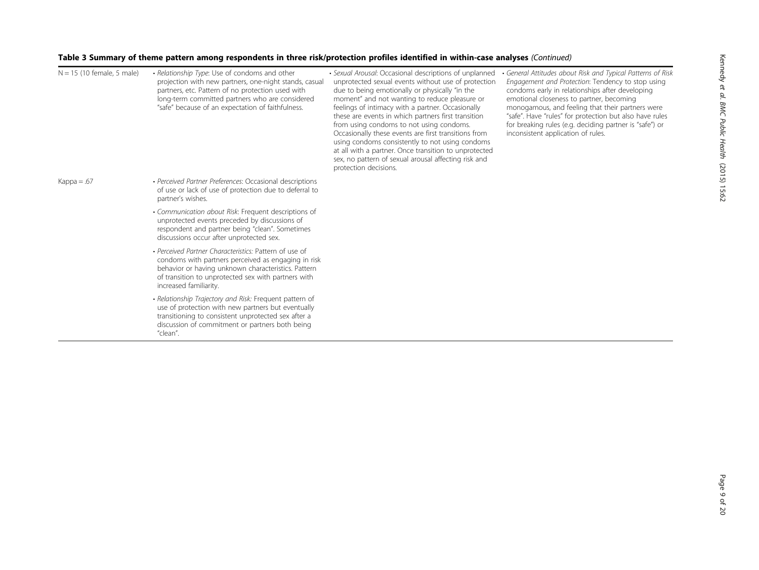# Table 3 Summary of theme pattern among respondents in three risk/protection profiles identified in within-case analyses (Continued)

| $N = 15$ (10 female, 5 male) | • Relationship Type: Use of condoms and other<br>projection with new partners, one-night stands, casual<br>partners, etc. Pattern of no protection used with<br>long-term committed partners who are considered<br>"safe" because of an expectation of faithfulness. | · Sexual Arousal: Occasional descriptions of unplanned<br>unprotected sexual events without use of protection<br>due to being emotionally or physically "in the<br>moment" and not wanting to reduce pleasure or<br>feelings of intimacy with a partner. Occasionally<br>these are events in which partners first transition<br>from using condoms to not using condoms.<br>Occasionally these events are first transitions from<br>using condoms consistently to not using condoms<br>at all with a partner. Once transition to unprotected<br>sex, no pattern of sexual arousal affecting risk and<br>protection decisions. | General Attitudes about Risk and Typical Patterns of Risk<br>Engagement and Protection: Tendency to stop using<br>condoms early in relationships after developing<br>emotional closeness to partner, becoming<br>monogamous, and feeling that their partners were<br>"safe". Have "rules" for protection but also have rules<br>for breaking rules (e.g. deciding partner is "safe") or<br>inconsistent application of rules. |
|------------------------------|----------------------------------------------------------------------------------------------------------------------------------------------------------------------------------------------------------------------------------------------------------------------|-------------------------------------------------------------------------------------------------------------------------------------------------------------------------------------------------------------------------------------------------------------------------------------------------------------------------------------------------------------------------------------------------------------------------------------------------------------------------------------------------------------------------------------------------------------------------------------------------------------------------------|-------------------------------------------------------------------------------------------------------------------------------------------------------------------------------------------------------------------------------------------------------------------------------------------------------------------------------------------------------------------------------------------------------------------------------|
| Kappa = $.67$                | · Perceived Partner Preferences: Occasional descriptions<br>of use or lack of use of protection due to deferral to<br>partner's wishes.                                                                                                                              |                                                                                                                                                                                                                                                                                                                                                                                                                                                                                                                                                                                                                               |                                                                                                                                                                                                                                                                                                                                                                                                                               |
|                              | • Communication about Risk: Frequent descriptions of<br>unprotected events preceded by discussions of<br>respondent and partner being "clean". Sometimes<br>discussions occur after unprotected sex.                                                                 |                                                                                                                                                                                                                                                                                                                                                                                                                                                                                                                                                                                                                               |                                                                                                                                                                                                                                                                                                                                                                                                                               |
|                              | • Perceived Partner Characteristics: Pattern of use of<br>condoms with partners perceived as engaging in risk<br>behavior or having unknown characteristics. Pattern<br>of transition to unprotected sex with partners with<br>increased familiarity.                |                                                                                                                                                                                                                                                                                                                                                                                                                                                                                                                                                                                                                               |                                                                                                                                                                                                                                                                                                                                                                                                                               |
|                              | · Relationship Trajectory and Risk: Frequent pattern of<br>use of protection with new partners but eventually<br>transitioning to consistent unprotected sex after a<br>discussion of commitment or partners both being<br>"clean".                                  |                                                                                                                                                                                                                                                                                                                                                                                                                                                                                                                                                                                                                               |                                                                                                                                                                                                                                                                                                                                                                                                                               |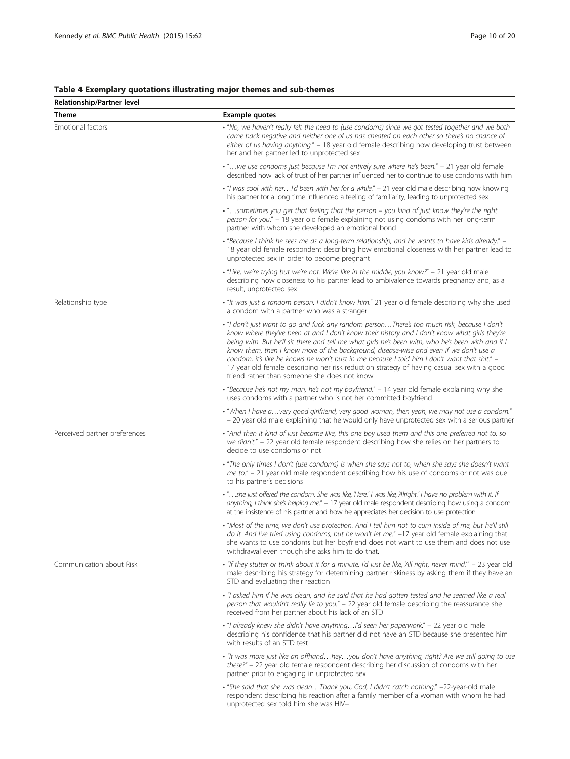<span id="page-9-0"></span>

| Relationship/Partner level    |                                                                                                                                                                                                                                                                                                                                                                                                                                                                                                                                                                                                                                            |
|-------------------------------|--------------------------------------------------------------------------------------------------------------------------------------------------------------------------------------------------------------------------------------------------------------------------------------------------------------------------------------------------------------------------------------------------------------------------------------------------------------------------------------------------------------------------------------------------------------------------------------------------------------------------------------------|
| <b>Theme</b>                  | <b>Example quotes</b>                                                                                                                                                                                                                                                                                                                                                                                                                                                                                                                                                                                                                      |
| Emotional factors             | · "No, we haven't really felt the need to (use condoms) since we got tested together and we both<br>came back negative and neither one of us has cheated on each other so there's no chance of<br>either of us having anything." $-18$ year old female describing how developing trust between<br>her and her partner led to unprotected sex                                                                                                                                                                                                                                                                                               |
|                               | . " we use condoms just because I'm not entirely sure where he's been." - 21 year old female<br>described how lack of trust of her partner influenced her to continue to use condoms with him                                                                                                                                                                                                                                                                                                                                                                                                                                              |
|                               | $\cdot$ "I was cool with herI'd been with her for a while." – 21 year old male describing how knowing<br>his partner for a long time influenced a feeling of familiarity, leading to unprotected sex                                                                                                                                                                                                                                                                                                                                                                                                                                       |
|                               | . "sometimes you get that feeling that the person – you kind of just know they're the right<br>person for you." - 18 year old female explaining not using condoms with her long-term<br>partner with whom she developed an emotional bond                                                                                                                                                                                                                                                                                                                                                                                                  |
|                               | • "Because I think he sees me as a long-term relationship, and he wants to have kids already." –<br>18 year old female respondent describing how emotional closeness with her partner lead to<br>unprotected sex in order to become pregnant                                                                                                                                                                                                                                                                                                                                                                                               |
|                               | • "Like, we're trying but we're not. We're like in the middle, you know?" – 21 year old male<br>describing how closeness to his partner lead to ambivalence towards pregnancy and, as a<br>result, unprotected sex                                                                                                                                                                                                                                                                                                                                                                                                                         |
| Relationship type             | . "It was just a random person. I didn't know him." 21 year old female describing why she used<br>a condom with a partner who was a stranger.                                                                                                                                                                                                                                                                                                                                                                                                                                                                                              |
|                               | • "I don't just want to go and fuck any random personThere's too much risk, because I don't<br>know where they've been at and I don't know their history and I don't know what girls they're<br>being with. But he'll sit there and tell me what girls he's been with, who he's been with and if I<br>know them, then I know more of the background, disease-wise and even if we don't use a<br>condom, it's like he knows he won't bust in me because I told him I don't want that shit." -<br>17 year old female describing her risk reduction strategy of having casual sex with a good<br>friend rather than someone she does not know |
|                               | · "Because he's not my man, he's not my boyfriend." - 14 year old female explaining why she<br>uses condoms with a partner who is not her committed boyfriend                                                                                                                                                                                                                                                                                                                                                                                                                                                                              |
|                               | • "When I have avery good girlfriend, very good woman, then yeah, we may not use a condom."<br>- 20 year old male explaining that he would only have unprotected sex with a serious partner                                                                                                                                                                                                                                                                                                                                                                                                                                                |
| Perceived partner preferences | . "And then it kind of just became like, this one boy used them and this one preferred not to, so<br>we didn't." - 22 year old female respondent describing how she relies on her partners to<br>decide to use condoms or not                                                                                                                                                                                                                                                                                                                                                                                                              |
|                               | • "The only times I don't (use condoms) is when she says not to, when she says she doesn't want<br>$me$ to." - 21 year old male respondent describing how his use of condoms or not was due<br>to his partner's decisions                                                                                                                                                                                                                                                                                                                                                                                                                  |
|                               | •"she just offered the condom. She was like, 'Here.' I was like, 'Alright.' I have no problem with it. If<br>anything, I think she's helping me." - 17 year old male respondent describing how using a condom<br>at the insistence of his partner and how he appreciates her decision to use protection                                                                                                                                                                                                                                                                                                                                    |
|                               | · "Most of the time, we don't use protection. And I tell him not to cum inside of me, but he'll still<br>do it. And I've tried using condoms, but he won't let me." -17 year old female explaining that<br>she wants to use condoms but her boyfriend does not want to use them and does not use<br>withdrawal even though she asks him to do that.                                                                                                                                                                                                                                                                                        |
| Communication about Risk      | . "If they stutter or think about it for a minute, I'd just be like, 'All right, never mind.'" - 23 year old<br>male describing his strategy for determining partner riskiness by asking them if they have an<br>STD and evaluating their reaction                                                                                                                                                                                                                                                                                                                                                                                         |
|                               | • "I asked him if he was clean, and he said that he had gotten tested and he seemed like a real<br>person that wouldn't really lie to you." - 22 year old female describing the reassurance she<br>received from her partner about his lack of an STD                                                                                                                                                                                                                                                                                                                                                                                      |
|                               | • "I already knew she didn't have anythingI'd seen her paperwork." – 22 year old male<br>describing his confidence that his partner did not have an STD because she presented him<br>with results of an STD test                                                                                                                                                                                                                                                                                                                                                                                                                           |
|                               | . "It was more just like an offhandheyyou don't have anything, right? Are we still going to use<br>these?" - 22 year old female respondent describing her discussion of condoms with her<br>partner prior to engaging in unprotected sex                                                                                                                                                                                                                                                                                                                                                                                                   |
|                               | · "She said that she was cleanThank you, God, I didn't catch nothing." -22-year-old male<br>respondent describing his reaction after a family member of a woman with whom he had<br>unprotected sex told him she was HIV+                                                                                                                                                                                                                                                                                                                                                                                                                  |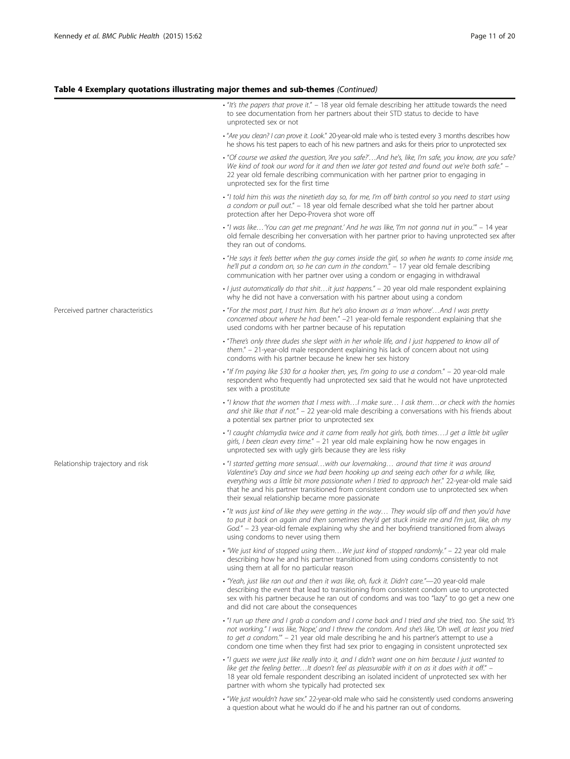## Table 4 Exemplary quotations illustrating major themes and sub-themes (Continued)

|                                   | $\cdot$ "It's the papers that prove it." - 18 year old female describing her attitude towards the need<br>to see documentation from her partners about their STD status to decide to have<br>unprotected sex or not                                                                                                                                                                                                                 |
|-----------------------------------|-------------------------------------------------------------------------------------------------------------------------------------------------------------------------------------------------------------------------------------------------------------------------------------------------------------------------------------------------------------------------------------------------------------------------------------|
|                                   | . "Are you clean? I can prove it. Look." 20-year-old male who is tested every 3 months describes how<br>he shows his test papers to each of his new partners and asks for theirs prior to unprotected sex                                                                                                                                                                                                                           |
|                                   | . "Of course we asked the question, 'Are you safe?'And he's, like, I'm safe, you know, are you safe.<br>We kind of took our word for it and then we later got tested and found out we're both safe." -<br>22 year old female describing communication with her partner prior to engaging in<br>unprotected sex for the first time                                                                                                   |
|                                   | . "I told him this was the ninetieth day so, for me, I'm off birth control so you need to start using<br>a condom or pull out." - 18 year old female described what she told her partner about<br>protection after her Depo-Provera shot wore off                                                                                                                                                                                   |
|                                   | • "I was like 'You can get me pregnant.' And he was like, 'I'm not gonna nut in you.'" – 14 year<br>old female describing her conversation with her partner prior to having unprotected sex after<br>they ran out of condoms.                                                                                                                                                                                                       |
|                                   | • "He says it feels better when the guy comes inside the girl, so when he wants to come inside me,<br>he'll put a condom on, so he can cum in the condom." - 17 year old female describing<br>communication with her partner over using a condom or engaging in withdrawal                                                                                                                                                          |
|                                   | $\cdot$ l just automatically do that shitit just happens." - 20 year old male respondent explaining<br>why he did not have a conversation with his partner about using a condom                                                                                                                                                                                                                                                     |
| Perceived partner characteristics | • "For the most part, I trust him. But he's also known as a 'man whore'And I was pretty<br>concerned about where he had been." -21 year-old female respondent explaining that she<br>used condoms with her partner because of his reputation                                                                                                                                                                                        |
|                                   | • "There's only three dudes she slept with in her whole life, and I just happened to know all of<br>them." - 21-year-old male respondent explaining his lack of concern about not using<br>condoms with his partner because he knew her sex history                                                                                                                                                                                 |
|                                   | . "If I'm paying like \$30 for a hooker then, yes, I'm going to use a condom." - 20 year-old male<br>respondent who frequently had unprotected sex said that he would not have unprotected<br>sex with a prostitute                                                                                                                                                                                                                 |
|                                   | • "I know that the women that I mess withI make sure I ask themor check with the homies<br>and shit like that if not." $-$ 22 year-old male describing a conversations with his friends about<br>a potential sex partner prior to unprotected sex                                                                                                                                                                                   |
|                                   | · "I caught chlamydia twice and it came from really hot girls, both timesI get a little bit uglier<br>girls, I been clean every time." $-$ 21 year old male explaining how he now engages in<br>unprotected sex with ugly girls because they are less risky                                                                                                                                                                         |
| Relationship trajectory and risk  | • "I started getting more sensualwith our lovemaking around that time it was around<br>Valentine's Day and since we had been hooking up and seeing each other for a while, like,<br>everything was a little bit more passionate when I tried to approach her." 22-year-old male said<br>that he and his partner transitioned from consistent condom use to unprotected sex when<br>their sexual relationship became more passionate |
|                                   | . "It was just kind of like they were getting in the way They would slip off and then you'd have<br>to put it back on again and then sometimes they'd get stuck inside me and I'm just, like, oh my<br>God." - 23 year-old female explaining why she and her boyfriend transitioned from always<br>using condoms to never using them                                                                                                |
|                                   | • "We just kind of stopped using themWe just kind of stopped randomly." – 22 year old male<br>describing how he and his partner transitioned from using condoms consistently to not<br>using them at all for no particular reason                                                                                                                                                                                                   |
|                                   | · "Yeah, just like ran out and then it was like, oh, fuck it. Didn't care."—20 year-old male<br>describing the event that lead to transitioning from consistent condom use to unprotected<br>sex with his partner because he ran out of condoms and was too "lazy" to go get a new one<br>and did not care about the consequences                                                                                                   |
|                                   | . "I run up there and I grab a condom and I come back and I tried and she tried, too. She said, 'It's<br>not working." I was like, 'Nope', and I threw the condom. And she's like, 'Oh well, at least you tried<br>to get a condom."" $-$ 21 year old male describing he and his partner's attempt to use a<br>condom one time when they first had sex prior to engaging in consistent unprotected sex                              |
|                                   | . "I guess we were just like really into it, and I didn't want one on him because I just wanted to<br>like get the feeling betterIt doesn't feel as pleasurable with it on as it does with it off." -<br>18 year old female respondent describing an isolated incident of unprotected sex with her<br>partner with whom she typically had protected sex                                                                             |
|                                   | . "We just wouldn't have sex." 22-year-old male who said he consistently used condoms answering                                                                                                                                                                                                                                                                                                                                     |

a question about what he would do if he and his partner ran out of condoms.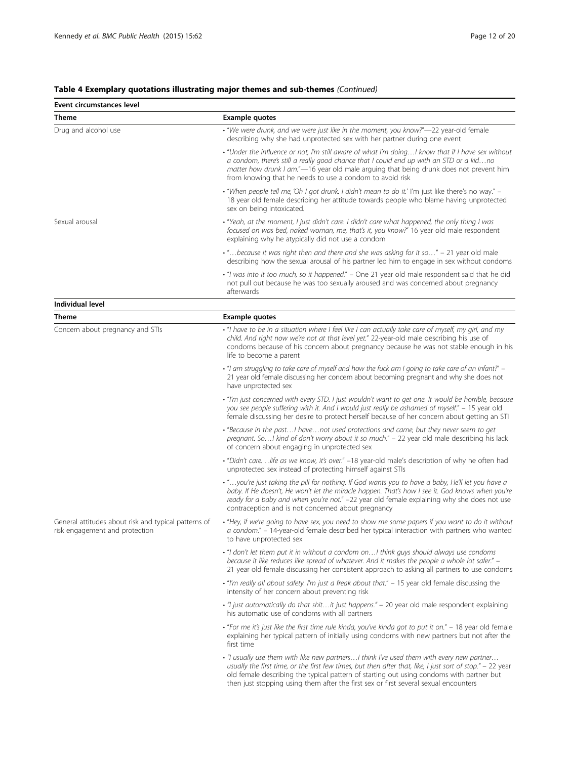# Table 4 Exemplary quotations illustrating major themes and sub-themes (Continued)

| Event circumstances level                                                              |                                                                                                                                                                                                                                                                                                                                                                                             |
|----------------------------------------------------------------------------------------|---------------------------------------------------------------------------------------------------------------------------------------------------------------------------------------------------------------------------------------------------------------------------------------------------------------------------------------------------------------------------------------------|
| Theme                                                                                  | Example quotes                                                                                                                                                                                                                                                                                                                                                                              |
| Drug and alcohol use                                                                   | . "We were drunk, and we were just like in the moment, you know?"-22 year-old female<br>describing why she had unprotected sex with her partner during one event                                                                                                                                                                                                                            |
|                                                                                        | . "Under the influence or not, I'm still aware of what I'm doingI know that if I have sex without<br>a condom, there's still a really good chance that I could end up with an STD or a kidno<br>matter how drunk I am."—16 year old male arguing that being drunk does not prevent him<br>from knowing that he needs to use a condom to avoid risk                                          |
|                                                                                        | . "When people tell me, 'Oh I got drunk. I didn't mean to do it.' I'm just like there's no way." -<br>18 year old female describing her attitude towards people who blame having unprotected<br>sex on being intoxicated.                                                                                                                                                                   |
| Sexual arousal                                                                         | • "Yeah, at the moment, I just didn't care. I didn't care what happened, the only thing I was<br>focused on was bed, naked woman, me, that's it, you know?" 16 year old male respondent<br>explaining why he atypically did not use a condom                                                                                                                                                |
|                                                                                        | $\cdot$ " because it was right then and there and she was asking for it so" – 21 year old male<br>describing how the sexual arousal of his partner led him to engage in sex without condoms                                                                                                                                                                                                 |
|                                                                                        | · "I was into it too much, so it happened." - One 21 year old male respondent said that he did<br>not pull out because he was too sexually aroused and was concerned about pregnancy<br>afterwards                                                                                                                                                                                          |
| Individual level                                                                       |                                                                                                                                                                                                                                                                                                                                                                                             |
| <b>Theme</b>                                                                           | <b>Example quotes</b>                                                                                                                                                                                                                                                                                                                                                                       |
| Concern about pregnancy and STIs                                                       | . "I have to be in a situation where I feel like I can actually take care of myself, my girl, and my<br>child. And right now we're not at that level yet." 22-year-old male describing his use of<br>condoms because of his concern about pregnancy because he was not stable enough in his<br>life to become a parent                                                                      |
|                                                                                        | • "I am struggling to take care of myself and how the fuck am I going to take care of an infant?" –<br>21 year old female discussing her concern about becoming pregnant and why she does not<br>have unprotected sex                                                                                                                                                                       |
|                                                                                        | . "I'm just concerned with every STD. I just wouldn't want to get one. It would be horrible, because<br>you see people suffering with it. And I would just really be ashamed of myself." - 15 year old<br>female discussing her desire to protect herself because of her concern about getting an STI                                                                                       |
|                                                                                        | • "Because in the pastI havenot used protections and came, but they never seem to get<br>pregnant. So! kind of don't worry about it so much." - 22 year old male describing his lack<br>of concern about engaging in unprotected sex                                                                                                                                                        |
|                                                                                        | . "Didn't care.life as we know, it's over." -18 year-old male's description of why he often had<br>unprotected sex instead of protecting himself against STIs                                                                                                                                                                                                                               |
|                                                                                        | . "you're just taking the pill for nothing. If God wants you to have a baby, He'll let you have a<br>baby. If He doesn't, He won't let the miracle happen. That's how I see it. God knows when you're<br>ready for a baby and when you're not." -22 year old female explaining why she does not use<br>contraception and is not concerned about pregnancy                                   |
| General attitudes about risk and typical patterns of<br>risk engagement and protection | • "Hey, if we're going to have sex, you need to show me some papers if you want to do it without<br>a condom." - 14-year-old female described her typical interaction with partners who wanted<br>to have unprotected sex                                                                                                                                                                   |
|                                                                                        | • "I don't let them put it in without a condom onI think guys should always use condoms<br>because it like reduces like spread of whatever. And it makes the people a whole lot safer." -<br>21 year old female discussing her consistent approach to asking all partners to use condoms                                                                                                    |
|                                                                                        | . "I'm really all about safety. I'm just a freak about that." - 15 year old female discussing the<br>intensity of her concern about preventing risk                                                                                                                                                                                                                                         |
|                                                                                        | . "I just automatically do that shitit just happens." - 20 year old male respondent explaining<br>his automatic use of condoms with all partners                                                                                                                                                                                                                                            |
|                                                                                        | . "For me it's just like the first time rule kinda, you've kinda got to put it on." - 18 year old female<br>explaining her typical pattern of initially using condoms with new partners but not after the<br>first time                                                                                                                                                                     |
|                                                                                        | • "I usually use them with like new partnersI think I've used them with every new partner<br>usually the first time, or the first few times, but then after that, like, I just sort of stop." – 22 year<br>old female describing the typical pattern of starting out using condoms with partner but<br>then just stopping using them after the first sex or first several sexual encounters |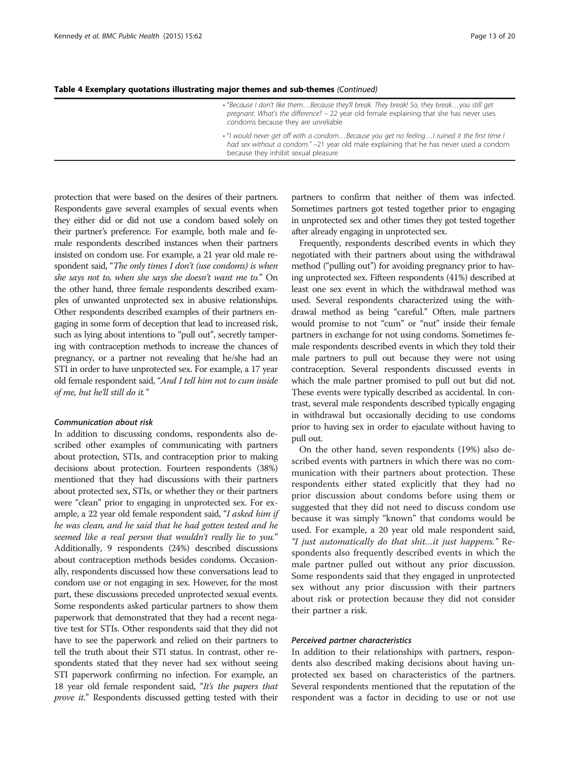| • "Because I don't like themBecause they'll break. They break! So, they breakyou still get<br>pregnant. What's the difference? - 22 year old female explaining that she has never uses<br>condoms because they are unreliable   |
|---------------------------------------------------------------------------------------------------------------------------------------------------------------------------------------------------------------------------------|
| • "I would never get off with a condomBecause you get no feelingI ruined it the first time I<br>had sex without a condom." -21 year old male explaining that he has never used a condom<br>because they inhibit sexual pleasure |

Table 4 Exemplary quotations illustrating major themes and sub-themes (Continued)

protection that were based on the desires of their partners. Respondents gave several examples of sexual events when they either did or did not use a condom based solely on their partner's preference. For example, both male and female respondents described instances when their partners insisted on condom use. For example, a 21 year old male respondent said, "The only times I don't (use condoms) is when she says not to, when she says she doesn't want me to." On the other hand, three female respondents described examples of unwanted unprotected sex in abusive relationships. Other respondents described examples of their partners engaging in some form of deception that lead to increased risk, such as lying about intentions to "pull out", secretly tampering with contraception methods to increase the chances of pregnancy, or a partner not revealing that he/she had an STI in order to have unprotected sex. For example, a 17 year old female respondent said, "And I tell him not to cum inside of me, but he'll still do it."

#### Communication about risk

In addition to discussing condoms, respondents also described other examples of communicating with partners about protection, STIs, and contraception prior to making decisions about protection. Fourteen respondents (38%) mentioned that they had discussions with their partners about protected sex, STIs, or whether they or their partners were "clean" prior to engaging in unprotected sex. For example, a 22 year old female respondent said, "I asked him if he was clean, and he said that he had gotten tested and he seemed like a real person that wouldn't really lie to you." Additionally, 9 respondents (24%) described discussions about contraception methods besides condoms. Occasionally, respondents discussed how these conversations lead to condom use or not engaging in sex. However, for the most part, these discussions preceded unprotected sexual events. Some respondents asked particular partners to show them paperwork that demonstrated that they had a recent negative test for STIs. Other respondents said that they did not have to see the paperwork and relied on their partners to tell the truth about their STI status. In contrast, other respondents stated that they never had sex without seeing STI paperwork confirming no infection. For example, an 18 year old female respondent said, "It's the papers that prove it." Respondents discussed getting tested with their

partners to confirm that neither of them was infected. Sometimes partners got tested together prior to engaging in unprotected sex and other times they got tested together after already engaging in unprotected sex.

Frequently, respondents described events in which they negotiated with their partners about using the withdrawal method ("pulling out") for avoiding pregnancy prior to having unprotected sex. Fifteen respondents (41%) described at least one sex event in which the withdrawal method was used. Several respondents characterized using the withdrawal method as being "careful." Often, male partners would promise to not "cum" or "nut" inside their female partners in exchange for not using condoms. Sometimes female respondents described events in which they told their male partners to pull out because they were not using contraception. Several respondents discussed events in which the male partner promised to pull out but did not. These events were typically described as accidental. In contrast, several male respondents described typically engaging in withdrawal but occasionally deciding to use condoms prior to having sex in order to ejaculate without having to pull out.

On the other hand, seven respondents (19%) also described events with partners in which there was no communication with their partners about protection. These respondents either stated explicitly that they had no prior discussion about condoms before using them or suggested that they did not need to discuss condom use because it was simply "known" that condoms would be used. For example, a 20 year old male respondent said, "I just automatically do that shit…it just happens." Respondents also frequently described events in which the male partner pulled out without any prior discussion. Some respondents said that they engaged in unprotected sex without any prior discussion with their partners about risk or protection because they did not consider their partner a risk.

#### Perceived partner characteristics

In addition to their relationships with partners, respondents also described making decisions about having unprotected sex based on characteristics of the partners. Several respondents mentioned that the reputation of the respondent was a factor in deciding to use or not use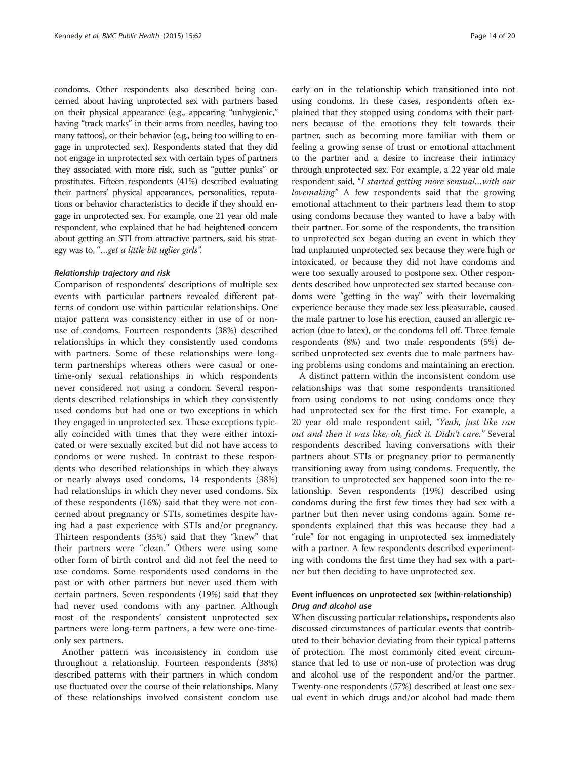condoms. Other respondents also described being concerned about having unprotected sex with partners based on their physical appearance (e.g., appearing "unhygienic," having "track marks" in their arms from needles, having too many tattoos), or their behavior (e.g., being too willing to engage in unprotected sex). Respondents stated that they did not engage in unprotected sex with certain types of partners they associated with more risk, such as "gutter punks" or prostitutes. Fifteen respondents (41%) described evaluating their partners' physical appearances, personalities, reputations or behavior characteristics to decide if they should engage in unprotected sex. For example, one 21 year old male respondent, who explained that he had heightened concern about getting an STI from attractive partners, said his strategy was to, "…get a little bit uglier girls".

#### Relationship trajectory and risk

Comparison of respondents' descriptions of multiple sex events with particular partners revealed different patterns of condom use within particular relationships. One major pattern was consistency either in use of or nonuse of condoms. Fourteen respondents (38%) described relationships in which they consistently used condoms with partners. Some of these relationships were longterm partnerships whereas others were casual or onetime-only sexual relationships in which respondents never considered not using a condom. Several respondents described relationships in which they consistently used condoms but had one or two exceptions in which they engaged in unprotected sex. These exceptions typically coincided with times that they were either intoxicated or were sexually excited but did not have access to condoms or were rushed. In contrast to these respondents who described relationships in which they always or nearly always used condoms, 14 respondents (38%) had relationships in which they never used condoms. Six of these respondents (16%) said that they were not concerned about pregnancy or STIs, sometimes despite having had a past experience with STIs and/or pregnancy. Thirteen respondents (35%) said that they "knew" that their partners were "clean." Others were using some other form of birth control and did not feel the need to use condoms. Some respondents used condoms in the past or with other partners but never used them with certain partners. Seven respondents (19%) said that they had never used condoms with any partner. Although most of the respondents' consistent unprotected sex partners were long-term partners, a few were one-timeonly sex partners.

Another pattern was inconsistency in condom use throughout a relationship. Fourteen respondents (38%) described patterns with their partners in which condom use fluctuated over the course of their relationships. Many of these relationships involved consistent condom use

early on in the relationship which transitioned into not using condoms. In these cases, respondents often explained that they stopped using condoms with their partners because of the emotions they felt towards their partner, such as becoming more familiar with them or feeling a growing sense of trust or emotional attachment to the partner and a desire to increase their intimacy through unprotected sex. For example, a 22 year old male respondent said, "I started getting more sensual…with our lovemaking" A few respondents said that the growing emotional attachment to their partners lead them to stop using condoms because they wanted to have a baby with their partner. For some of the respondents, the transition to unprotected sex began during an event in which they had unplanned unprotected sex because they were high or intoxicated, or because they did not have condoms and were too sexually aroused to postpone sex. Other respondents described how unprotected sex started because condoms were "getting in the way" with their lovemaking experience because they made sex less pleasurable, caused the male partner to lose his erection, caused an allergic reaction (due to latex), or the condoms fell off. Three female respondents (8%) and two male respondents (5%) described unprotected sex events due to male partners having problems using condoms and maintaining an erection.

A distinct pattern within the inconsistent condom use relationships was that some respondents transitioned from using condoms to not using condoms once they had unprotected sex for the first time. For example, a 20 year old male respondent said, "Yeah, just like ran out and then it was like, oh, fuck it. Didn't care." Several respondents described having conversations with their partners about STIs or pregnancy prior to permanently transitioning away from using condoms. Frequently, the transition to unprotected sex happened soon into the relationship. Seven respondents (19%) described using condoms during the first few times they had sex with a partner but then never using condoms again. Some respondents explained that this was because they had a "rule" for not engaging in unprotected sex immediately with a partner. A few respondents described experimenting with condoms the first time they had sex with a partner but then deciding to have unprotected sex.

## Event influences on unprotected sex (within-relationship) Drug and alcohol use

When discussing particular relationships, respondents also discussed circumstances of particular events that contributed to their behavior deviating from their typical patterns of protection. The most commonly cited event circumstance that led to use or non-use of protection was drug and alcohol use of the respondent and/or the partner. Twenty-one respondents (57%) described at least one sexual event in which drugs and/or alcohol had made them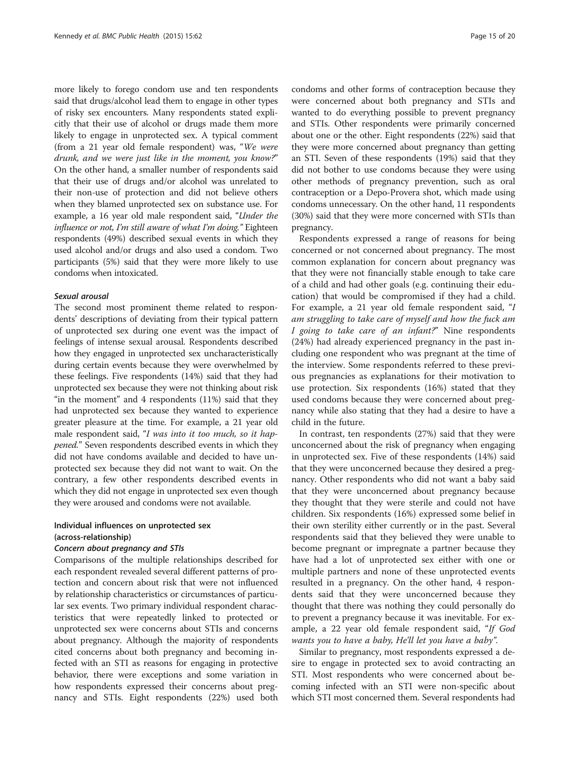more likely to forego condom use and ten respondents said that drugs/alcohol lead them to engage in other types of risky sex encounters. Many respondents stated explicitly that their use of alcohol or drugs made them more likely to engage in unprotected sex. A typical comment (from a 21 year old female respondent) was, "We were drunk, and we were just like in the moment, you know?" On the other hand, a smaller number of respondents said that their use of drugs and/or alcohol was unrelated to their non-use of protection and did not believe others when they blamed unprotected sex on substance use. For example, a 16 year old male respondent said, "Under the influence or not, I'm still aware of what I'm doing." Eighteen respondents (49%) described sexual events in which they used alcohol and/or drugs and also used a condom. Two participants (5%) said that they were more likely to use condoms when intoxicated.

#### Sexual arousal

The second most prominent theme related to respondents' descriptions of deviating from their typical pattern of unprotected sex during one event was the impact of feelings of intense sexual arousal. Respondents described how they engaged in unprotected sex uncharacteristically during certain events because they were overwhelmed by these feelings. Five respondents (14%) said that they had unprotected sex because they were not thinking about risk "in the moment" and 4 respondents (11%) said that they had unprotected sex because they wanted to experience greater pleasure at the time. For example, a 21 year old male respondent said, "I was into it too much, so it happened." Seven respondents described events in which they did not have condoms available and decided to have unprotected sex because they did not want to wait. On the contrary, a few other respondents described events in which they did not engage in unprotected sex even though they were aroused and condoms were not available.

## Individual influences on unprotected sex (across-relationship)

#### Concern about pregnancy and STIs

Comparisons of the multiple relationships described for each respondent revealed several different patterns of protection and concern about risk that were not influenced by relationship characteristics or circumstances of particular sex events. Two primary individual respondent characteristics that were repeatedly linked to protected or unprotected sex were concerns about STIs and concerns about pregnancy. Although the majority of respondents cited concerns about both pregnancy and becoming infected with an STI as reasons for engaging in protective behavior, there were exceptions and some variation in how respondents expressed their concerns about pregnancy and STIs. Eight respondents (22%) used both

condoms and other forms of contraception because they were concerned about both pregnancy and STIs and wanted to do everything possible to prevent pregnancy and STIs. Other respondents were primarily concerned about one or the other. Eight respondents (22%) said that they were more concerned about pregnancy than getting an STI. Seven of these respondents (19%) said that they did not bother to use condoms because they were using other methods of pregnancy prevention, such as oral contraception or a Depo-Provera shot, which made using condoms unnecessary. On the other hand, 11 respondents (30%) said that they were more concerned with STIs than pregnancy.

Respondents expressed a range of reasons for being concerned or not concerned about pregnancy. The most common explanation for concern about pregnancy was that they were not financially stable enough to take care of a child and had other goals (e.g. continuing their education) that would be compromised if they had a child. For example, a 21 year old female respondent said, "I am struggling to take care of myself and how the fuck am I going to take care of an infant?" Nine respondents (24%) had already experienced pregnancy in the past including one respondent who was pregnant at the time of the interview. Some respondents referred to these previous pregnancies as explanations for their motivation to use protection. Six respondents (16%) stated that they used condoms because they were concerned about pregnancy while also stating that they had a desire to have a child in the future.

In contrast, ten respondents (27%) said that they were unconcerned about the risk of pregnancy when engaging in unprotected sex. Five of these respondents (14%) said that they were unconcerned because they desired a pregnancy. Other respondents who did not want a baby said that they were unconcerned about pregnancy because they thought that they were sterile and could not have children. Six respondents (16%) expressed some belief in their own sterility either currently or in the past. Several respondents said that they believed they were unable to become pregnant or impregnate a partner because they have had a lot of unprotected sex either with one or multiple partners and none of these unprotected events resulted in a pregnancy. On the other hand, 4 respondents said that they were unconcerned because they thought that there was nothing they could personally do to prevent a pregnancy because it was inevitable. For example, a 22 year old female respondent said, "If God wants you to have a baby, He'll let you have a baby".

Similar to pregnancy, most respondents expressed a desire to engage in protected sex to avoid contracting an STI. Most respondents who were concerned about becoming infected with an STI were non-specific about which STI most concerned them. Several respondents had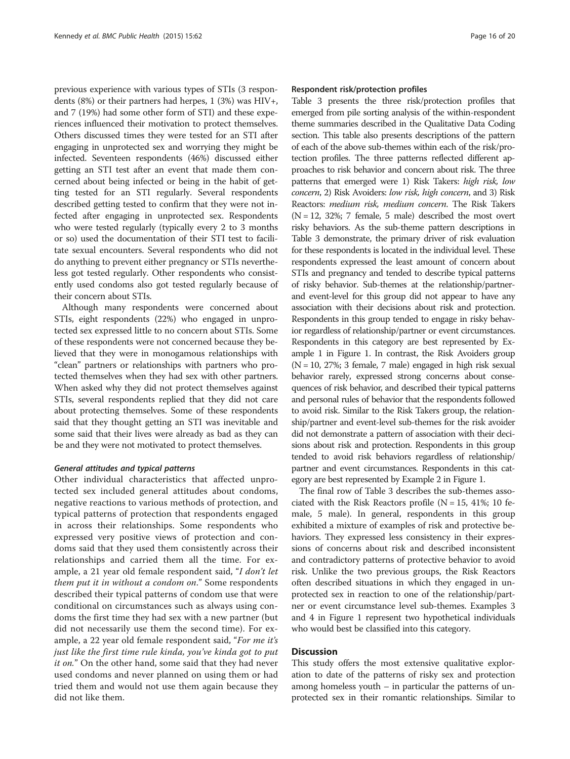previous experience with various types of STIs (3 respondents (8%) or their partners had herpes, 1 (3%) was HIV+, and 7 (19%) had some other form of STI) and these experiences influenced their motivation to protect themselves. Others discussed times they were tested for an STI after engaging in unprotected sex and worrying they might be infected. Seventeen respondents (46%) discussed either getting an STI test after an event that made them concerned about being infected or being in the habit of getting tested for an STI regularly. Several respondents described getting tested to confirm that they were not infected after engaging in unprotected sex. Respondents who were tested regularly (typically every 2 to 3 months or so) used the documentation of their STI test to facilitate sexual encounters. Several respondents who did not do anything to prevent either pregnancy or STIs nevertheless got tested regularly. Other respondents who consistently used condoms also got tested regularly because of their concern about STIs.

Although many respondents were concerned about STIs, eight respondents (22%) who engaged in unprotected sex expressed little to no concern about STIs. Some of these respondents were not concerned because they believed that they were in monogamous relationships with "clean" partners or relationships with partners who protected themselves when they had sex with other partners. When asked why they did not protect themselves against STIs, several respondents replied that they did not care about protecting themselves. Some of these respondents said that they thought getting an STI was inevitable and some said that their lives were already as bad as they can be and they were not motivated to protect themselves.

## General attitudes and typical patterns

Other individual characteristics that affected unprotected sex included general attitudes about condoms, negative reactions to various methods of protection, and typical patterns of protection that respondents engaged in across their relationships. Some respondents who expressed very positive views of protection and condoms said that they used them consistently across their relationships and carried them all the time. For example, a 21 year old female respondent said, "I don't let them put it in without a condom on." Some respondents described their typical patterns of condom use that were conditional on circumstances such as always using condoms the first time they had sex with a new partner (but did not necessarily use them the second time). For example, a 22 year old female respondent said, "For me it's just like the first time rule kinda, you've kinda got to put it on." On the other hand, some said that they had never used condoms and never planned on using them or had tried them and would not use them again because they did not like them.

#### Respondent risk/protection profiles

Table [3](#page-7-0) presents the three risk/protection profiles that emerged from pile sorting analysis of the within-respondent theme summaries described in the Qualitative Data Coding section. This table also presents descriptions of the pattern of each of the above sub-themes within each of the risk/protection profiles. The three patterns reflected different approaches to risk behavior and concern about risk. The three patterns that emerged were 1) Risk Takers: high risk, low concern, 2) Risk Avoiders: low risk, high concern, and 3) Risk Reactors: medium risk, medium concern. The Risk Takers  $(N = 12, 32\%; 7$  female, 5 male) described the most overt risky behaviors. As the sub-theme pattern descriptions in Table [3](#page-7-0) demonstrate, the primary driver of risk evaluation for these respondents is located in the individual level. These respondents expressed the least amount of concern about STIs and pregnancy and tended to describe typical patterns of risky behavior. Sub-themes at the relationship/partnerand event-level for this group did not appear to have any association with their decisions about risk and protection. Respondents in this group tended to engage in risky behavior regardless of relationship/partner or event circumstances. Respondents in this category are best represented by Example 1 in Figure [1.](#page-1-0) In contrast, the Risk Avoiders group  $(N = 10, 27\%; 3$  female, 7 male) engaged in high risk sexual behavior rarely, expressed strong concerns about consequences of risk behavior, and described their typical patterns and personal rules of behavior that the respondents followed to avoid risk. Similar to the Risk Takers group, the relationship/partner and event-level sub-themes for the risk avoider did not demonstrate a pattern of association with their decisions about risk and protection. Respondents in this group tended to avoid risk behaviors regardless of relationship/ partner and event circumstances. Respondents in this category are best represented by Example 2 in Figure [1](#page-1-0).

The final row of Table [3](#page-7-0) describes the sub-themes associated with the Risk Reactors profile ( $N = 15$ , 41%; 10 female, 5 male). In general, respondents in this group exhibited a mixture of examples of risk and protective behaviors. They expressed less consistency in their expressions of concerns about risk and described inconsistent and contradictory patterns of protective behavior to avoid risk. Unlike the two previous groups, the Risk Reactors often described situations in which they engaged in unprotected sex in reaction to one of the relationship/partner or event circumstance level sub-themes. Examples 3 and 4 in Figure [1](#page-1-0) represent two hypothetical individuals who would best be classified into this category.

#### **Discussion**

This study offers the most extensive qualitative exploration to date of the patterns of risky sex and protection among homeless youth – in particular the patterns of unprotected sex in their romantic relationships. Similar to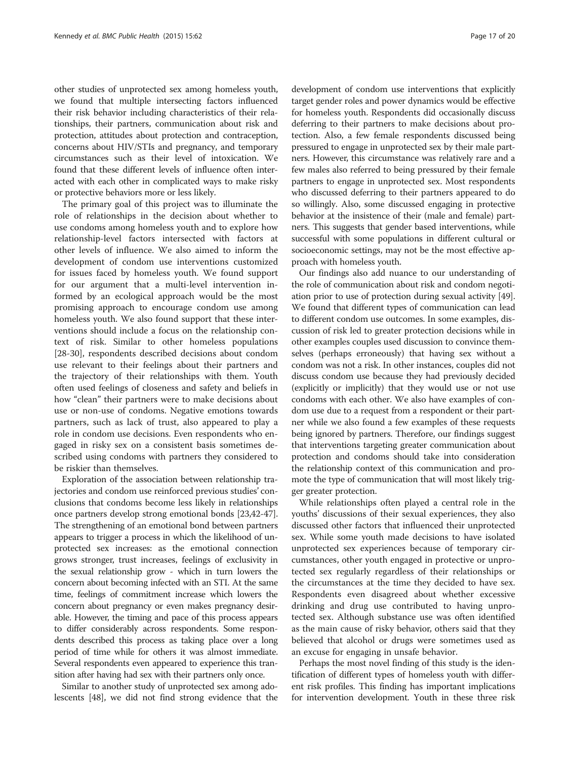other studies of unprotected sex among homeless youth, we found that multiple intersecting factors influenced their risk behavior including characteristics of their relationships, their partners, communication about risk and protection, attitudes about protection and contraception, concerns about HIV/STIs and pregnancy, and temporary circumstances such as their level of intoxication. We found that these different levels of influence often interacted with each other in complicated ways to make risky or protective behaviors more or less likely.

The primary goal of this project was to illuminate the role of relationships in the decision about whether to use condoms among homeless youth and to explore how relationship-level factors intersected with factors at other levels of influence. We also aimed to inform the development of condom use interventions customized for issues faced by homeless youth. We found support for our argument that a multi-level intervention informed by an ecological approach would be the most promising approach to encourage condom use among homeless youth. We also found support that these interventions should include a focus on the relationship context of risk. Similar to other homeless populations [[28-30](#page-19-0)], respondents described decisions about condom use relevant to their feelings about their partners and the trajectory of their relationships with them. Youth often used feelings of closeness and safety and beliefs in how "clean" their partners were to make decisions about use or non-use of condoms. Negative emotions towards partners, such as lack of trust, also appeared to play a role in condom use decisions. Even respondents who engaged in risky sex on a consistent basis sometimes described using condoms with partners they considered to be riskier than themselves.

Exploration of the association between relationship trajectories and condom use reinforced previous studies' conclusions that condoms become less likely in relationships once partners develop strong emotional bonds [[23,42](#page-19-0)-[47](#page-19-0)]. The strengthening of an emotional bond between partners appears to trigger a process in which the likelihood of unprotected sex increases: as the emotional connection grows stronger, trust increases, feelings of exclusivity in the sexual relationship grow - which in turn lowers the concern about becoming infected with an STI. At the same time, feelings of commitment increase which lowers the concern about pregnancy or even makes pregnancy desirable. However, the timing and pace of this process appears to differ considerably across respondents. Some respondents described this process as taking place over a long period of time while for others it was almost immediate. Several respondents even appeared to experience this transition after having had sex with their partners only once.

Similar to another study of unprotected sex among adolescents [[48\]](#page-19-0), we did not find strong evidence that the

development of condom use interventions that explicitly target gender roles and power dynamics would be effective for homeless youth. Respondents did occasionally discuss deferring to their partners to make decisions about protection. Also, a few female respondents discussed being pressured to engage in unprotected sex by their male partners. However, this circumstance was relatively rare and a few males also referred to being pressured by their female partners to engage in unprotected sex. Most respondents who discussed deferring to their partners appeared to do so willingly. Also, some discussed engaging in protective behavior at the insistence of their (male and female) partners. This suggests that gender based interventions, while successful with some populations in different cultural or socioeconomic settings, may not be the most effective approach with homeless youth.

Our findings also add nuance to our understanding of the role of communication about risk and condom negotiation prior to use of protection during sexual activity [[49](#page-19-0)]. We found that different types of communication can lead to different condom use outcomes. In some examples, discussion of risk led to greater protection decisions while in other examples couples used discussion to convince themselves (perhaps erroneously) that having sex without a condom was not a risk. In other instances, couples did not discuss condom use because they had previously decided (explicitly or implicitly) that they would use or not use condoms with each other. We also have examples of condom use due to a request from a respondent or their partner while we also found a few examples of these requests being ignored by partners. Therefore, our findings suggest that interventions targeting greater communication about protection and condoms should take into consideration the relationship context of this communication and promote the type of communication that will most likely trigger greater protection.

While relationships often played a central role in the youths' discussions of their sexual experiences, they also discussed other factors that influenced their unprotected sex. While some youth made decisions to have isolated unprotected sex experiences because of temporary circumstances, other youth engaged in protective or unprotected sex regularly regardless of their relationships or the circumstances at the time they decided to have sex. Respondents even disagreed about whether excessive drinking and drug use contributed to having unprotected sex. Although substance use was often identified as the main cause of risky behavior, others said that they believed that alcohol or drugs were sometimes used as an excuse for engaging in unsafe behavior.

Perhaps the most novel finding of this study is the identification of different types of homeless youth with different risk profiles. This finding has important implications for intervention development. Youth in these three risk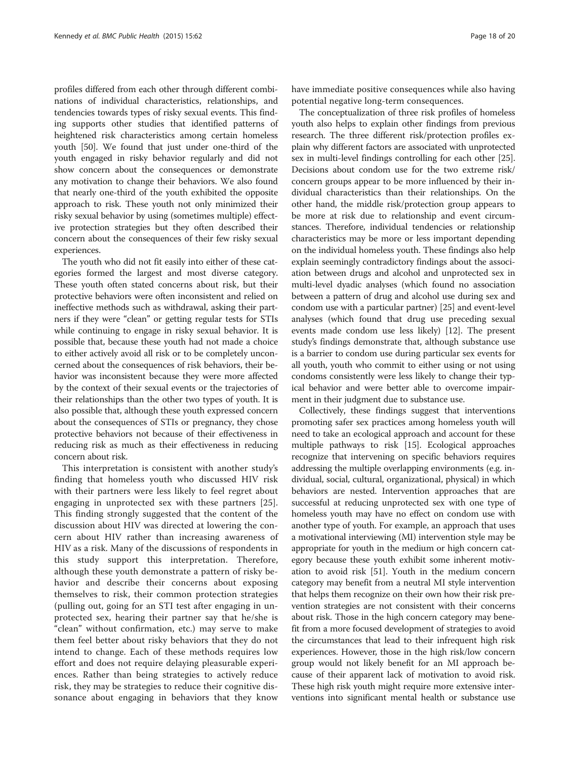profiles differed from each other through different combinations of individual characteristics, relationships, and tendencies towards types of risky sexual events. This finding supports other studies that identified patterns of heightened risk characteristics among certain homeless youth [\[50](#page-19-0)]. We found that just under one-third of the youth engaged in risky behavior regularly and did not show concern about the consequences or demonstrate any motivation to change their behaviors. We also found that nearly one-third of the youth exhibited the opposite approach to risk. These youth not only minimized their risky sexual behavior by using (sometimes multiple) effective protection strategies but they often described their concern about the consequences of their few risky sexual experiences.

The youth who did not fit easily into either of these categories formed the largest and most diverse category. These youth often stated concerns about risk, but their protective behaviors were often inconsistent and relied on ineffective methods such as withdrawal, asking their partners if they were "clean" or getting regular tests for STIs while continuing to engage in risky sexual behavior. It is possible that, because these youth had not made a choice to either actively avoid all risk or to be completely unconcerned about the consequences of risk behaviors, their behavior was inconsistent because they were more affected by the context of their sexual events or the trajectories of their relationships than the other two types of youth. It is also possible that, although these youth expressed concern about the consequences of STIs or pregnancy, they chose protective behaviors not because of their effectiveness in reducing risk as much as their effectiveness in reducing concern about risk.

This interpretation is consistent with another study's finding that homeless youth who discussed HIV risk with their partners were less likely to feel regret about engaging in unprotected sex with these partners [\[25](#page-19-0)]. This finding strongly suggested that the content of the discussion about HIV was directed at lowering the concern about HIV rather than increasing awareness of HIV as a risk. Many of the discussions of respondents in this study support this interpretation. Therefore, although these youth demonstrate a pattern of risky behavior and describe their concerns about exposing themselves to risk, their common protection strategies (pulling out, going for an STI test after engaging in unprotected sex, hearing their partner say that he/she is "clean" without confirmation, etc.) may serve to make them feel better about risky behaviors that they do not intend to change. Each of these methods requires low effort and does not require delaying pleasurable experiences. Rather than being strategies to actively reduce risk, they may be strategies to reduce their cognitive dissonance about engaging in behaviors that they know have immediate positive consequences while also having potential negative long-term consequences.

The conceptualization of three risk profiles of homeless youth also helps to explain other findings from previous research. The three different risk/protection profiles explain why different factors are associated with unprotected sex in multi-level findings controlling for each other [[25](#page-19-0)]. Decisions about condom use for the two extreme risk/ concern groups appear to be more influenced by their individual characteristics than their relationships. On the other hand, the middle risk/protection group appears to be more at risk due to relationship and event circumstances. Therefore, individual tendencies or relationship characteristics may be more or less important depending on the individual homeless youth. These findings also help explain seemingly contradictory findings about the association between drugs and alcohol and unprotected sex in multi-level dyadic analyses (which found no association between a pattern of drug and alcohol use during sex and condom use with a particular partner) [[25](#page-19-0)] and event-level analyses (which found that drug use preceding sexual events made condom use less likely) [[12](#page-18-0)]. The present study's findings demonstrate that, although substance use is a barrier to condom use during particular sex events for all youth, youth who commit to either using or not using condoms consistently were less likely to change their typical behavior and were better able to overcome impairment in their judgment due to substance use.

Collectively, these findings suggest that interventions promoting safer sex practices among homeless youth will need to take an ecological approach and account for these multiple pathways to risk [[15](#page-19-0)]. Ecological approaches recognize that intervening on specific behaviors requires addressing the multiple overlapping environments (e.g. individual, social, cultural, organizational, physical) in which behaviors are nested. Intervention approaches that are successful at reducing unprotected sex with one type of homeless youth may have no effect on condom use with another type of youth. For example, an approach that uses a motivational interviewing (MI) intervention style may be appropriate for youth in the medium or high concern category because these youth exhibit some inherent motivation to avoid risk [\[51\]](#page-19-0). Youth in the medium concern category may benefit from a neutral MI style intervention that helps them recognize on their own how their risk prevention strategies are not consistent with their concerns about risk. Those in the high concern category may benefit from a more focused development of strategies to avoid the circumstances that lead to their infrequent high risk experiences. However, those in the high risk/low concern group would not likely benefit for an MI approach because of their apparent lack of motivation to avoid risk. These high risk youth might require more extensive interventions into significant mental health or substance use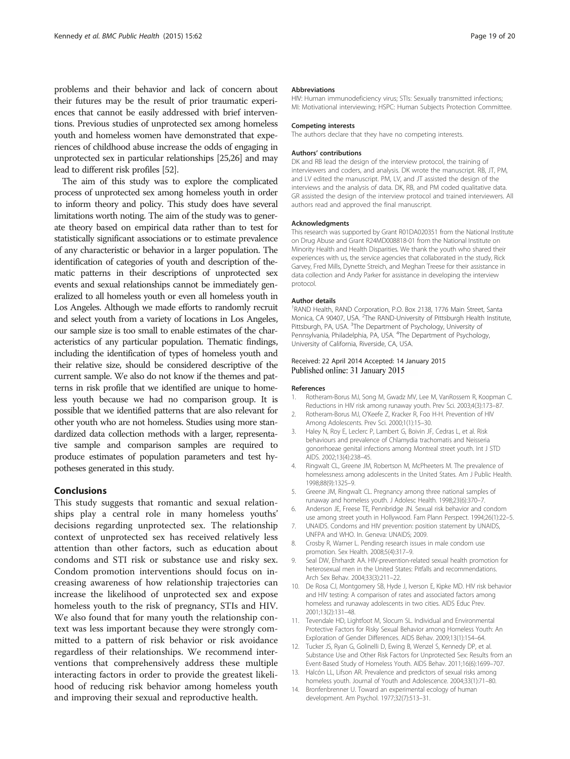<span id="page-18-0"></span>problems and their behavior and lack of concern about their futures may be the result of prior traumatic experiences that cannot be easily addressed with brief interventions. Previous studies of unprotected sex among homeless youth and homeless women have demonstrated that experiences of childhood abuse increase the odds of engaging in unprotected sex in particular relationships [[25,26](#page-19-0)] and may lead to different risk profiles [\[52\]](#page-19-0).

The aim of this study was to explore the complicated process of unprotected sex among homeless youth in order to inform theory and policy. This study does have several limitations worth noting. The aim of the study was to generate theory based on empirical data rather than to test for statistically significant associations or to estimate prevalence of any characteristic or behavior in a larger population. The identification of categories of youth and description of thematic patterns in their descriptions of unprotected sex events and sexual relationships cannot be immediately generalized to all homeless youth or even all homeless youth in Los Angeles. Although we made efforts to randomly recruit and select youth from a variety of locations in Los Angeles, our sample size is too small to enable estimates of the characteristics of any particular population. Thematic findings, including the identification of types of homeless youth and their relative size, should be considered descriptive of the current sample. We also do not know if the themes and patterns in risk profile that we identified are unique to homeless youth because we had no comparison group. It is possible that we identified patterns that are also relevant for other youth who are not homeless. Studies using more standardized data collection methods with a larger, representative sample and comparison samples are required to produce estimates of population parameters and test hypotheses generated in this study.

## Conclusions

This study suggests that romantic and sexual relationships play a central role in many homeless youths' decisions regarding unprotected sex. The relationship context of unprotected sex has received relatively less attention than other factors, such as education about condoms and STI risk or substance use and risky sex. Condom promotion interventions should focus on increasing awareness of how relationship trajectories can increase the likelihood of unprotected sex and expose homeless youth to the risk of pregnancy, STIs and HIV. We also found that for many youth the relationship context was less important because they were strongly committed to a pattern of risk behavior or risk avoidance regardless of their relationships. We recommend interventions that comprehensively address these multiple interacting factors in order to provide the greatest likelihood of reducing risk behavior among homeless youth and improving their sexual and reproductive health.

#### **Abbreviations**

HIV: Human immunodeficiency virus; STIs: Sexually transmitted infections; MI: Motivational interviewing; HSPC: Human Subjects Protection Committee.

#### Competing interests

The authors declare that they have no competing interests.

#### Authors' contributions

DK and RB lead the design of the interview protocol, the training of interviewers and coders, and analysis. DK wrote the manuscript. RB, JT, PM, and LV edited the manuscript. PM, LV, and JT assisted the design of the interviews and the analysis of data. DK, RB, and PM coded qualitative data. GR assisted the design of the interview protocol and trained interviewers. All authors read and approved the final manuscript.

#### Acknowledgments

This research was supported by Grant R01DA020351 from the National Institute on Drug Abuse and Grant R24MD008818-01 from the National Institute on Minority Health and Health Disparities. We thank the youth who shared their experiences with us, the service agencies that collaborated in the study, Rick Garvey, Fred Mills, Dynette Streich, and Meghan Treese for their assistance in data collection and Andy Parker for assistance in developing the interview protocol.

#### Author details

<sup>1</sup>RAND Health, RAND Corporation, P.O. Box 2138, 1776 Main Street, Santa Monica, CA 90407, USA. <sup>2</sup>The RAND-University of Pittsburgh Health Institute Pittsburgh, PA, USA. <sup>3</sup>The Department of Psychology, University of Pennsylvania, Philadelphia, PA, USA. <sup>4</sup>The Department of Psychology University of California, Riverside, CA, USA.

#### Received: 22 April 2014 Accepted: 14 January 2015 Published online: 31 January 2015

#### References

- 1. Rotheram-Borus MJ, Song M, Gwadz MV, Lee M, VanRossem R, Koopman C. Reductions in HIV risk among runaway youth. Prev Sci. 2003;4(3):173–87.
- 2. Rotheram-Borus MJ, O'Keefe Z, Kracker R, Foo H-H. Prevention of HIV Among Adolescents. Prev Sci. 2000;1(1):15–30.
- 3. Haley N, Roy E, Leclerc P, Lambert G, Boivin JF, Cedras L, et al. Risk behaviours and prevalence of Chlamydia trachomatis and Neisseria gonorrhoeae genital infections among Montreal street youth. Int J STD AIDS. 2002;13(4):238–45.
- 4. Ringwalt CL, Greene JM, Robertson M, McPheeters M. The prevalence of homelessness among adolescents in the United States. Am J Public Health. 1998;88(9):1325–9.
- 5. Greene JM, Ringwalt CL. Pregnancy among three national samples of runaway and homeless youth. J Adolesc Health. 1998;23(6):370–7.
- 6. Anderson JE, Freese TE, Pennbridge JN. Sexual risk behavior and condom use among street youth in Hollywood. Fam Plann Perspect. 1994;26(1):22–5.
- 7. UNAIDS. Condoms and HIV prevention: position statement by UNAIDS, UNFPA and WHO. In. Geneva: UNAIDS; 2009.
- 8. Crosby R, Warner L. Pending research issues in male condom use promotion. Sex Health. 2008;5(4):317–9.
- 9. Seal DW, Ehrhardt AA. HIV-prevention-related sexual health promotion for heterosexual men in the United States: Pitfalls and recommendations. Arch Sex Behav. 2004;33(3):211–22.
- 10. De Rosa CJ, Montgomery SB, Hyde J, Iverson E, Kipke MD. HIV risk behavior and HIV testing: A comparison of rates and associated factors among homeless and runaway adolescents in two cities. AIDS Educ Prev. 2001;13(2):131–48.
- 11. Tevendale HD, Lightfoot M, Slocum SL. Individual and Environmental Protective Factors for Risky Sexual Behavior among Homeless Youth: An Exploration of Gender Differences. AIDS Behav. 2009;13(1):154–64.
- 12. Tucker JS, Ryan G, Golinelli D, Ewing B, Wenzel S, Kennedy DP, et al. Substance Use and Other Risk Factors for Unprotected Sex: Results from an Event-Based Study of Homeless Youth. AIDS Behav. 2011;16(6):1699–707.
- 13. Halcón LL, Lifson AR. Prevalence and predictors of sexual risks among homeless youth. Journal of Youth and Adolescence. 2004;33(1):71–80.
- 14. Bronfenbrenner U. Toward an experimental ecology of human development. Am Psychol. 1977;32(7):513–31.